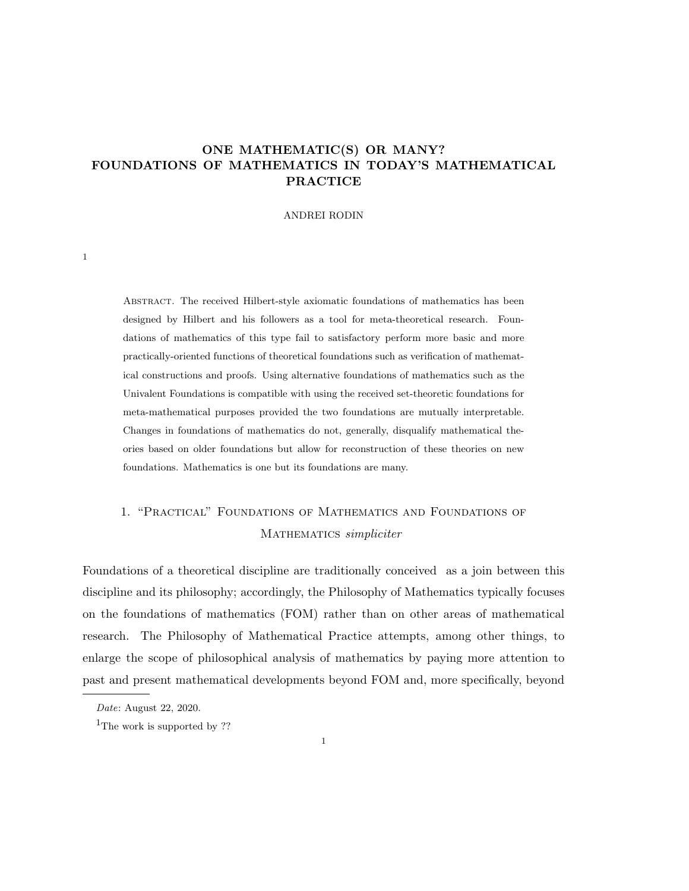# ONE MATHEMATIC(S) OR MANY? FOUNDATIONS OF MATHEMATICS IN TODAY'S MATHEMATICAL PRACTICE

## ANDREI RODIN

Abstract. The received Hilbert-style axiomatic foundations of mathematics has been designed by Hilbert and his followers as a tool for meta-theoretical research. Foundations of mathematics of this type fail to satisfactory perform more basic and more practically-oriented functions of theoretical foundations such as verification of mathematical constructions and proofs. Using alternative foundations of mathematics such as the Univalent Foundations is compatible with using the received set-theoretic foundations for meta-mathematical purposes provided the two foundations are mutually interpretable. Changes in foundations of mathematics do not, generally, disqualify mathematical theories based on older foundations but allow for reconstruction of these theories on new foundations. Mathematics is one but its foundations are many.

# 1. "Practical" Foundations of Mathematics and Foundations of MATHEMATICS simpliciter

Foundations of a theoretical discipline are traditionally conceived as a join between this discipline and its philosophy; accordingly, the Philosophy of Mathematics typically focuses on the foundations of mathematics (FOM) rather than on other areas of mathematical research. The Philosophy of Mathematical Practice attempts, among other things, to enlarge the scope of philosophical analysis of mathematics by paying more attention to past and present mathematical developments beyond FOM and, more specifically, beyond

1

Date: August 22, 2020.

<sup>&</sup>lt;sup>1</sup>The work is supported by ??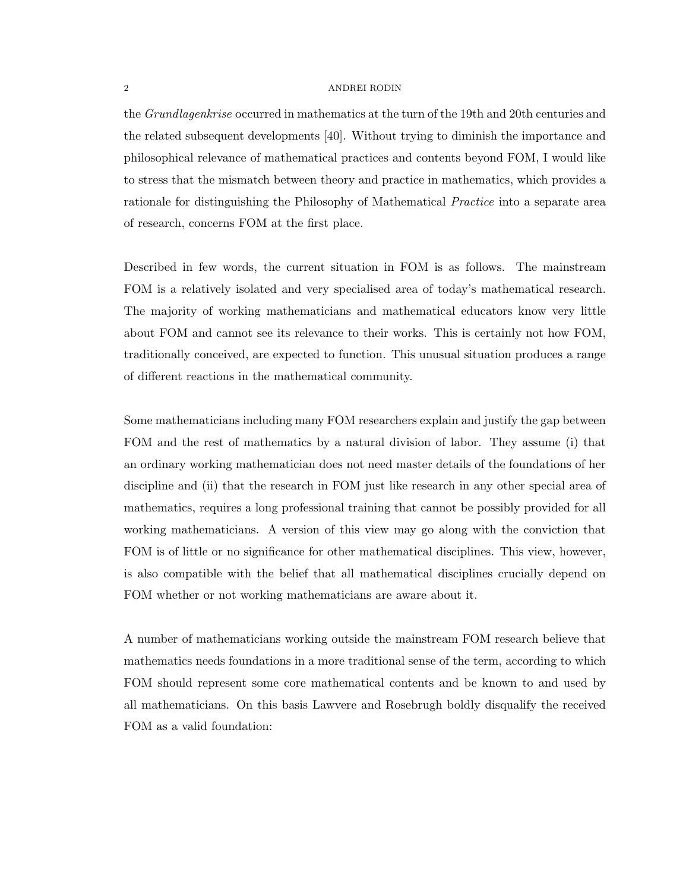the *Grundlagenkrise* occurred in mathematics at the turn of the 19th and 20th centuries and the related subsequent developments [40]. Without trying to diminish the importance and philosophical relevance of mathematical practices and contents beyond FOM, I would like to stress that the mismatch between theory and practice in mathematics, which provides a rationale for distinguishing the Philosophy of Mathematical Practice into a separate area of research, concerns FOM at the first place.

Described in few words, the current situation in FOM is as follows. The mainstream FOM is a relatively isolated and very specialised area of today's mathematical research. The majority of working mathematicians and mathematical educators know very little about FOM and cannot see its relevance to their works. This is certainly not how FOM, traditionally conceived, are expected to function. This unusual situation produces a range of different reactions in the mathematical community.

Some mathematicians including many FOM researchers explain and justify the gap between FOM and the rest of mathematics by a natural division of labor. They assume (i) that an ordinary working mathematician does not need master details of the foundations of her discipline and (ii) that the research in FOM just like research in any other special area of mathematics, requires a long professional training that cannot be possibly provided for all working mathematicians. A version of this view may go along with the conviction that FOM is of little or no significance for other mathematical disciplines. This view, however, is also compatible with the belief that all mathematical disciplines crucially depend on FOM whether or not working mathematicians are aware about it.

A number of mathematicians working outside the mainstream FOM research believe that mathematics needs foundations in a more traditional sense of the term, according to which FOM should represent some core mathematical contents and be known to and used by all mathematicians. On this basis Lawvere and Rosebrugh boldly disqualify the received FOM as a valid foundation: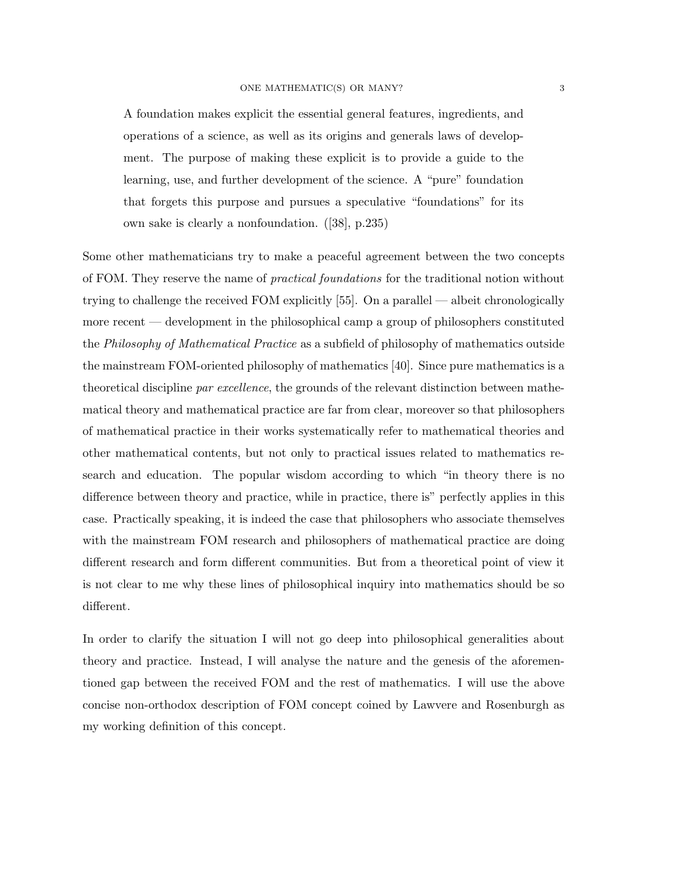A foundation makes explicit the essential general features, ingredients, and operations of a science, as well as its origins and generals laws of development. The purpose of making these explicit is to provide a guide to the learning, use, and further development of the science. A "pure" foundation that forgets this purpose and pursues a speculative "foundations" for its own sake is clearly a nonfoundation. ([38], p.235)

Some other mathematicians try to make a peaceful agreement between the two concepts of FOM. They reserve the name of *practical foundations* for the traditional notion without trying to challenge the received FOM explicitly [55]. On a parallel — albeit chronologically more recent — development in the philosophical camp a group of philosophers constituted the Philosophy of Mathematical Practice as a subfield of philosophy of mathematics outside the mainstream FOM-oriented philosophy of mathematics [40]. Since pure mathematics is a theoretical discipline par excellence, the grounds of the relevant distinction between mathematical theory and mathematical practice are far from clear, moreover so that philosophers of mathematical practice in their works systematically refer to mathematical theories and other mathematical contents, but not only to practical issues related to mathematics research and education. The popular wisdom according to which "in theory there is no difference between theory and practice, while in practice, there is" perfectly applies in this case. Practically speaking, it is indeed the case that philosophers who associate themselves with the mainstream FOM research and philosophers of mathematical practice are doing different research and form different communities. But from a theoretical point of view it is not clear to me why these lines of philosophical inquiry into mathematics should be so different.

In order to clarify the situation I will not go deep into philosophical generalities about theory and practice. Instead, I will analyse the nature and the genesis of the aforementioned gap between the received FOM and the rest of mathematics. I will use the above concise non-orthodox description of FOM concept coined by Lawvere and Rosenburgh as my working definition of this concept.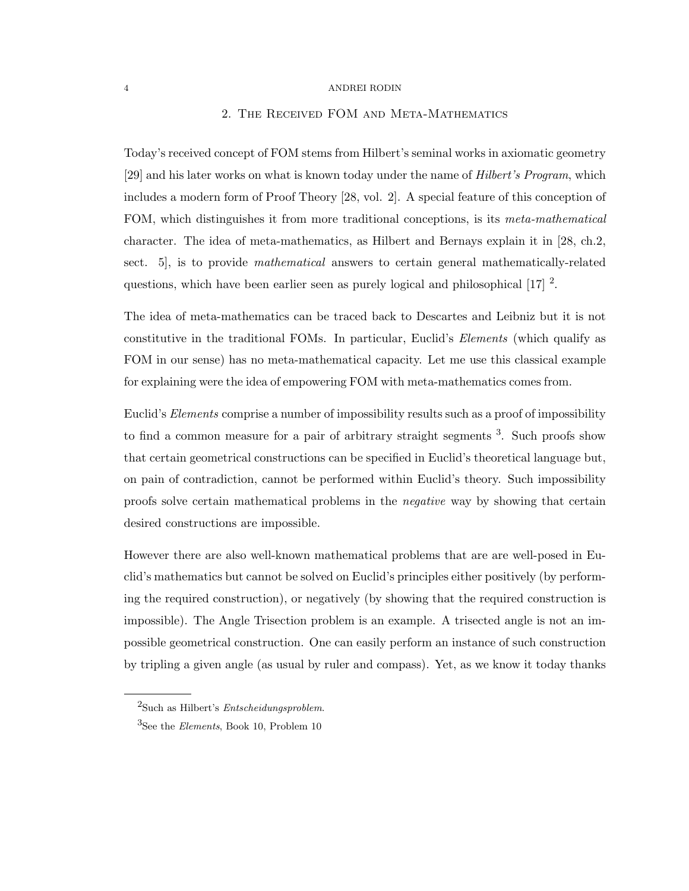# 2. The Received FOM and Meta-Mathematics

Today's received concept of FOM stems from Hilbert's seminal works in axiomatic geometry [29] and his later works on what is known today under the name of Hilbert's Program, which includes a modern form of Proof Theory [28, vol. 2]. A special feature of this conception of FOM, which distinguishes it from more traditional conceptions, is its *meta-mathematical* character. The idea of meta-mathematics, as Hilbert and Bernays explain it in [28, ch.2, sect. 5, is to provide *mathematical* answers to certain general mathematically-related questions, which have been earlier seen as purely logical and philosophical  $[17]$ <sup>2</sup>.

The idea of meta-mathematics can be traced back to Descartes and Leibniz but it is not constitutive in the traditional FOMs. In particular, Euclid's Elements (which qualify as FOM in our sense) has no meta-mathematical capacity. Let me use this classical example for explaining were the idea of empowering FOM with meta-mathematics comes from.

Euclid's *Elements* comprise a number of impossibility results such as a proof of impossibility to find a common measure for a pair of arbitrary straight segments <sup>3</sup>. Such proofs show that certain geometrical constructions can be specified in Euclid's theoretical language but, on pain of contradiction, cannot be performed within Euclid's theory. Such impossibility proofs solve certain mathematical problems in the negative way by showing that certain desired constructions are impossible.

However there are also well-known mathematical problems that are are well-posed in Euclid's mathematics but cannot be solved on Euclid's principles either positively (by performing the required construction), or negatively (by showing that the required construction is impossible). The Angle Trisection problem is an example. A trisected angle is not an impossible geometrical construction. One can easily perform an instance of such construction by tripling a given angle (as usual by ruler and compass). Yet, as we know it today thanks

<sup>2</sup>Such as Hilbert's Entscheidungsproblem.

<sup>&</sup>lt;sup>3</sup>See the *Elements*, Book 10, Problem 10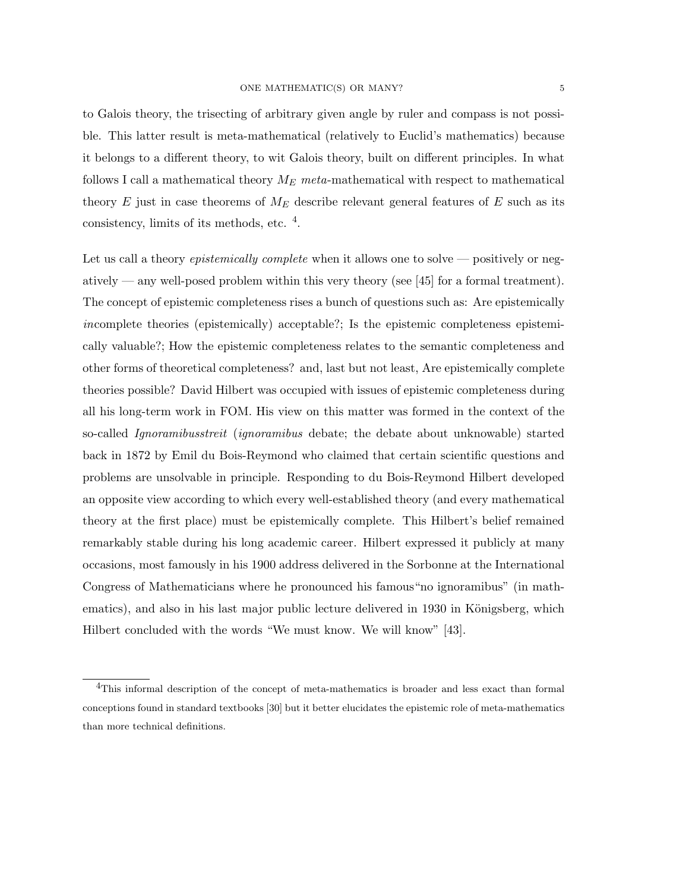to Galois theory, the trisecting of arbitrary given angle by ruler and compass is not possible. This latter result is meta-mathematical (relatively to Euclid's mathematics) because it belongs to a different theory, to wit Galois theory, built on different principles. In what follows I call a mathematical theory  $M_E$  meta-mathematical with respect to mathematical theory E just in case theorems of  $M_E$  describe relevant general features of E such as its consistency, limits of its methods, etc. <sup>4</sup>.

Let us call a theory *epistemically complete* when it allows one to solve — positively or negatively — any well-posed problem within this very theory (see  $[45]$  for a formal treatment). The concept of epistemic completeness rises a bunch of questions such as: Are epistemically incomplete theories (epistemically) acceptable?; Is the epistemic completeness epistemically valuable?; How the epistemic completeness relates to the semantic completeness and other forms of theoretical completeness? and, last but not least, Are epistemically complete theories possible? David Hilbert was occupied with issues of epistemic completeness during all his long-term work in FOM. His view on this matter was formed in the context of the so-called Ignoramibusstreit (ignoramibus debate; the debate about unknowable) started back in 1872 by Emil du Bois-Reymond who claimed that certain scientific questions and problems are unsolvable in principle. Responding to du Bois-Reymond Hilbert developed an opposite view according to which every well-established theory (and every mathematical theory at the first place) must be epistemically complete. This Hilbert's belief remained remarkably stable during his long academic career. Hilbert expressed it publicly at many occasions, most famously in his 1900 address delivered in the Sorbonne at the International Congress of Mathematicians where he pronounced his famous"no ignoramibus" (in mathematics), and also in his last major public lecture delivered in 1930 in Königsberg, which Hilbert concluded with the words "We must know. We will know" [43].

<sup>&</sup>lt;sup>4</sup>This informal description of the concept of meta-mathematics is broader and less exact than formal conceptions found in standard textbooks [30] but it better elucidates the epistemic role of meta-mathematics than more technical definitions.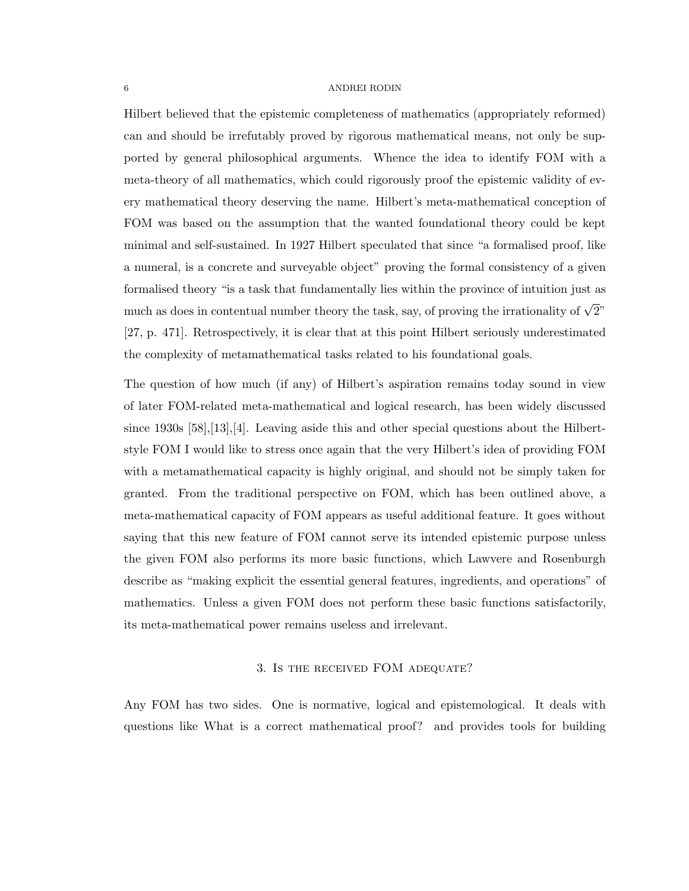Hilbert believed that the epistemic completeness of mathematics (appropriately reformed) can and should be irrefutably proved by rigorous mathematical means, not only be supported by general philosophical arguments. Whence the idea to identify FOM with a meta-theory of all mathematics, which could rigorously proof the epistemic validity of every mathematical theory deserving the name. Hilbert's meta-mathematical conception of FOM was based on the assumption that the wanted foundational theory could be kept minimal and self-sustained. In 1927 Hilbert speculated that since "a formalised proof, like a numeral, is a concrete and surveyable object" proving the formal consistency of a given formalised theory "is a task that fundamentally lies within the province of intuition just as much as does in contentual number theory the task, say, of proving the irrationality of  $\sqrt{2}$ " [27, p. 471]. Retrospectively, it is clear that at this point Hilbert seriously underestimated the complexity of metamathematical tasks related to his foundational goals.

The question of how much (if any) of Hilbert's aspiration remains today sound in view of later FOM-related meta-mathematical and logical research, has been widely discussed since 1930s  $[58]$ , [13], [4]. Leaving aside this and other special questions about the Hilbertstyle FOM I would like to stress once again that the very Hilbert's idea of providing FOM with a metamathematical capacity is highly original, and should not be simply taken for granted. From the traditional perspective on FOM, which has been outlined above, a meta-mathematical capacity of FOM appears as useful additional feature. It goes without saying that this new feature of FOM cannot serve its intended epistemic purpose unless the given FOM also performs its more basic functions, which Lawvere and Rosenburgh describe as "making explicit the essential general features, ingredients, and operations" of mathematics. Unless a given FOM does not perform these basic functions satisfactorily, its meta-mathematical power remains useless and irrelevant.

# 3. Is the received FOM adequate?

Any FOM has two sides. One is normative, logical and epistemological. It deals with questions like What is a correct mathematical proof? and provides tools for building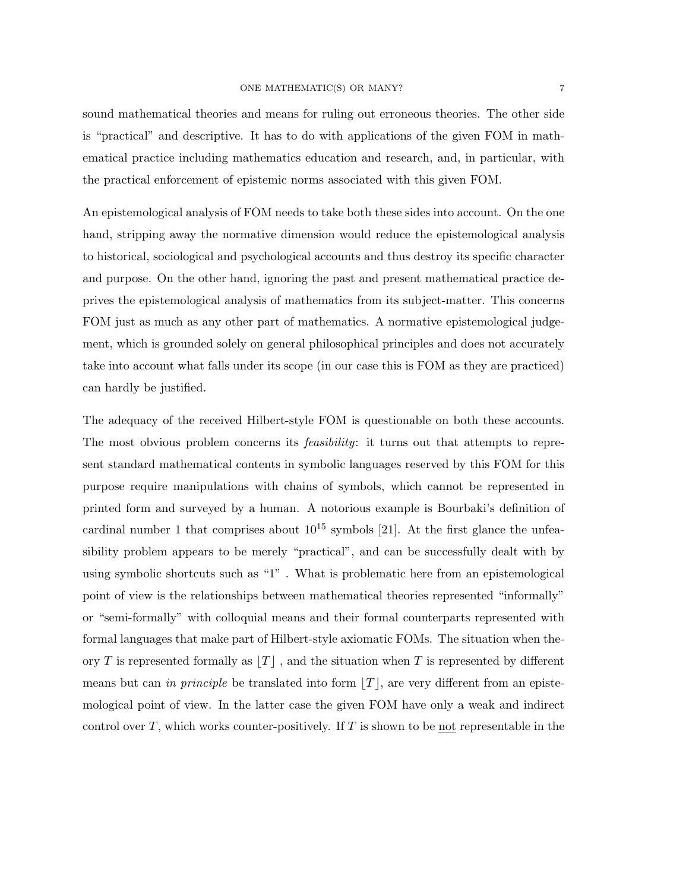sound mathematical theories and means for ruling out erroneous theories. The other side is "practical" and descriptive. It has to do with applications of the given FOM in mathematical practice including mathematics education and research, and, in particular, with the practical enforcement of epistemic norms associated with this given FOM.

An epistemological analysis of FOM needs to take both these sides into account. On the one hand, stripping away the normative dimension would reduce the epistemological analysis to historical, sociological and psychological accounts and thus destroy its specific character and purpose. On the other hand, ignoring the past and present mathematical practice deprives the epistemological analysis of mathematics from its subject-matter. This concerns FOM just as much as any other part of mathematics. A normative epistemological judgement, which is grounded solely on general philosophical principles and does not accurately take into account what falls under its scope (in our case this is FOM as they are practiced) can hardly be justified.

The adequacy of the received Hilbert-style FOM is questionable on both these accounts. The most obvious problem concerns its *feasibility*: it turns out that attempts to represent standard mathematical contents in symbolic languages reserved by this FOM for this purpose require manipulations with chains of symbols, which cannot be represented in printed form and surveyed by a human. A notorious example is Bourbaki's definition of cardinal number 1 that comprises about  $10^{15}$  symbols [21]. At the first glance the unfeasibility problem appears to be merely "practical", and can be successfully dealt with by using symbolic shortcuts such as "1" . What is problematic here from an epistemological point of view is the relationships between mathematical theories represented "informally" or "semi-formally" with colloquial means and their formal counterparts represented with formal languages that make part of Hilbert-style axiomatic FOMs. The situation when theory T is represented formally as  $|T|$ , and the situation when T is represented by different means but can in principle be translated into form  $|T|$ , are very different from an epistemological point of view. In the latter case the given FOM have only a weak and indirect control over T, which works counter-positively. If T is shown to be not representable in the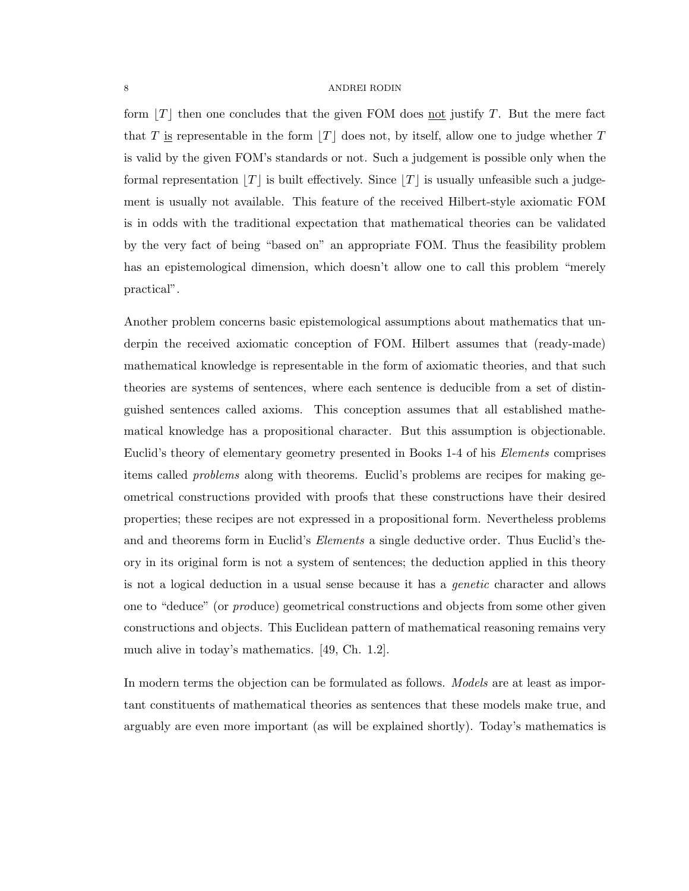form  $|T|$  then one concludes that the given FOM does not justify T. But the mere fact that T is representable in the form  $|T|$  does not, by itself, allow one to judge whether T is valid by the given FOM's standards or not. Such a judgement is possible only when the formal representation  $|T|$  is built effectively. Since  $|T|$  is usually unfeasible such a judgement is usually not available. This feature of the received Hilbert-style axiomatic FOM is in odds with the traditional expectation that mathematical theories can be validated by the very fact of being "based on" an appropriate FOM. Thus the feasibility problem has an epistemological dimension, which doesn't allow one to call this problem "merely practical".

Another problem concerns basic epistemological assumptions about mathematics that underpin the received axiomatic conception of FOM. Hilbert assumes that (ready-made) mathematical knowledge is representable in the form of axiomatic theories, and that such theories are systems of sentences, where each sentence is deducible from a set of distinguished sentences called axioms. This conception assumes that all established mathematical knowledge has a propositional character. But this assumption is objectionable. Euclid's theory of elementary geometry presented in Books 1-4 of his Elements comprises items called problems along with theorems. Euclid's problems are recipes for making geometrical constructions provided with proofs that these constructions have their desired properties; these recipes are not expressed in a propositional form. Nevertheless problems and and theorems form in Euclid's *Elements* a single deductive order. Thus Euclid's theory in its original form is not a system of sentences; the deduction applied in this theory is not a logical deduction in a usual sense because it has a genetic character and allows one to "deduce" (or produce) geometrical constructions and objects from some other given constructions and objects. This Euclidean pattern of mathematical reasoning remains very much alive in today's mathematics. [49, Ch. 1.2].

In modern terms the objection can be formulated as follows. *Models* are at least as important constituents of mathematical theories as sentences that these models make true, and arguably are even more important (as will be explained shortly). Today's mathematics is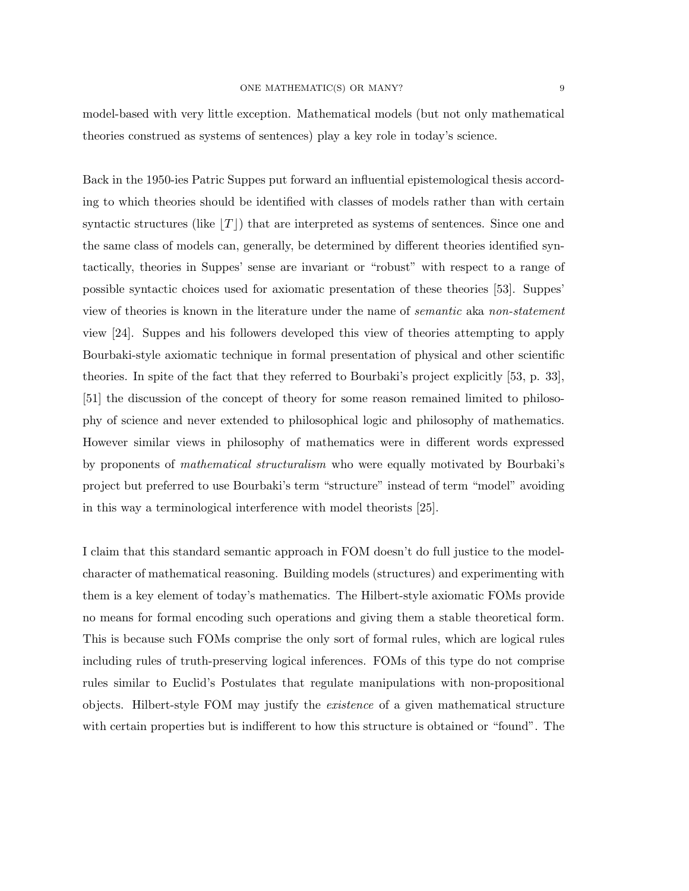model-based with very little exception. Mathematical models (but not only mathematical theories construed as systems of sentences) play a key role in today's science.

Back in the 1950-ies Patric Suppes put forward an influential epistemological thesis according to which theories should be identified with classes of models rather than with certain syntactic structures (like  $|T|$ ) that are interpreted as systems of sentences. Since one and the same class of models can, generally, be determined by different theories identified syntactically, theories in Suppes' sense are invariant or "robust" with respect to a range of possible syntactic choices used for axiomatic presentation of these theories [53]. Suppes' view of theories is known in the literature under the name of semantic aka non-statement view [24]. Suppes and his followers developed this view of theories attempting to apply Bourbaki-style axiomatic technique in formal presentation of physical and other scientific theories. In spite of the fact that they referred to Bourbaki's project explicitly [53, p. 33], [51] the discussion of the concept of theory for some reason remained limited to philosophy of science and never extended to philosophical logic and philosophy of mathematics. However similar views in philosophy of mathematics were in different words expressed by proponents of mathematical structuralism who were equally motivated by Bourbaki's project but preferred to use Bourbaki's term "structure" instead of term "model" avoiding in this way a terminological interference with model theorists [25].

I claim that this standard semantic approach in FOM doesn't do full justice to the modelcharacter of mathematical reasoning. Building models (structures) and experimenting with them is a key element of today's mathematics. The Hilbert-style axiomatic FOMs provide no means for formal encoding such operations and giving them a stable theoretical form. This is because such FOMs comprise the only sort of formal rules, which are logical rules including rules of truth-preserving logical inferences. FOMs of this type do not comprise rules similar to Euclid's Postulates that regulate manipulations with non-propositional objects. Hilbert-style FOM may justify the existence of a given mathematical structure with certain properties but is indifferent to how this structure is obtained or "found". The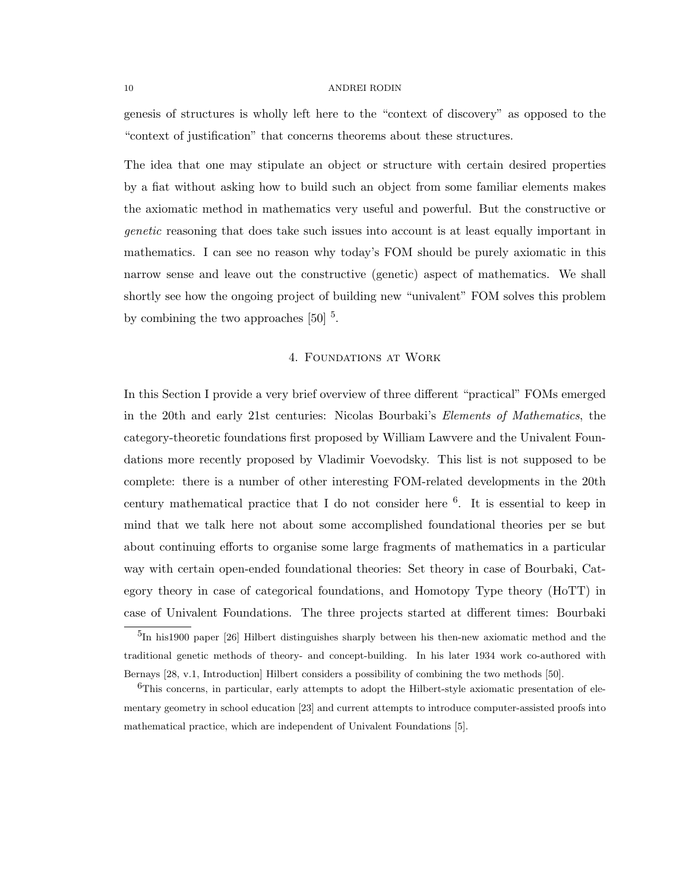genesis of structures is wholly left here to the "context of discovery" as opposed to the "context of justification" that concerns theorems about these structures.

The idea that one may stipulate an object or structure with certain desired properties by a fiat without asking how to build such an object from some familiar elements makes the axiomatic method in mathematics very useful and powerful. But the constructive or genetic reasoning that does take such issues into account is at least equally important in mathematics. I can see no reason why today's FOM should be purely axiomatic in this narrow sense and leave out the constructive (genetic) aspect of mathematics. We shall shortly see how the ongoing project of building new "univalent" FOM solves this problem by combining the two approaches  $[50]$ <sup>5</sup>.

# 4. Foundations at Work

In this Section I provide a very brief overview of three different "practical" FOMs emerged in the 20th and early 21st centuries: Nicolas Bourbaki's Elements of Mathematics, the category-theoretic foundations first proposed by William Lawvere and the Univalent Foundations more recently proposed by Vladimir Voevodsky. This list is not supposed to be complete: there is a number of other interesting FOM-related developments in the 20th century mathematical practice that I do not consider here  $6$ . It is essential to keep in mind that we talk here not about some accomplished foundational theories per se but about continuing efforts to organise some large fragments of mathematics in a particular way with certain open-ended foundational theories: Set theory in case of Bourbaki, Category theory in case of categorical foundations, and Homotopy Type theory (HoTT) in case of Univalent Foundations. The three projects started at different times: Bourbaki

<sup>&</sup>lt;sup>5</sup>In his1900 paper [26] Hilbert distinguishes sharply between his then-new axiomatic method and the traditional genetic methods of theory- and concept-building. In his later 1934 work co-authored with Bernays [28, v.1, Introduction] Hilbert considers a possibility of combining the two methods [50].

 $6$ This concerns, in particular, early attempts to adopt the Hilbert-style axiomatic presentation of elementary geometry in school education [23] and current attempts to introduce computer-assisted proofs into mathematical practice, which are independent of Univalent Foundations [5].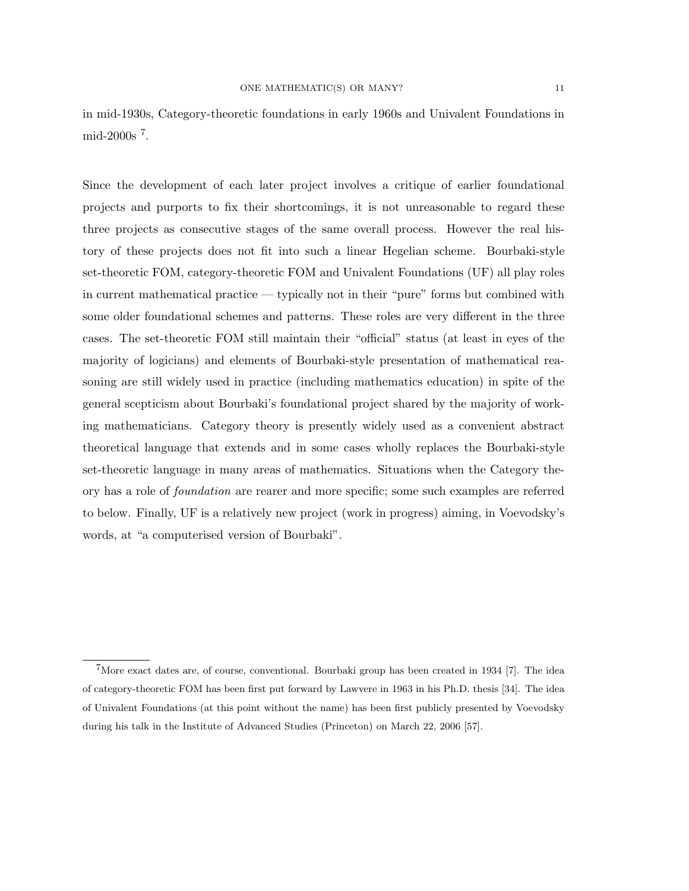in mid-1930s, Category-theoretic foundations in early 1960s and Univalent Foundations in mid-2000s <sup>7</sup> .

Since the development of each later project involves a critique of earlier foundational projects and purports to fix their shortcomings, it is not unreasonable to regard these three projects as consecutive stages of the same overall process. However the real history of these projects does not fit into such a linear Hegelian scheme. Bourbaki-style set-theoretic FOM, category-theoretic FOM and Univalent Foundations (UF) all play roles in current mathematical practice — typically not in their "pure" forms but combined with some older foundational schemes and patterns. These roles are very different in the three cases. The set-theoretic FOM still maintain their "official" status (at least in eyes of the majority of logicians) and elements of Bourbaki-style presentation of mathematical reasoning are still widely used in practice (including mathematics education) in spite of the general scepticism about Bourbaki's foundational project shared by the majority of working mathematicians. Category theory is presently widely used as a convenient abstract theoretical language that extends and in some cases wholly replaces the Bourbaki-style set-theoretic language in many areas of mathematics. Situations when the Category theory has a role of foundation are rearer and more specific; some such examples are referred to below. Finally, UF is a relatively new project (work in progress) aiming, in Voevodsky's words, at "a computerised version of Bourbaki".

<sup>7</sup>More exact dates are, of course, conventional. Bourbaki group has been created in 1934 [7]. The idea of category-theoretic FOM has been first put forward by Lawvere in 1963 in his Ph.D. thesis [34]. The idea of Univalent Foundations (at this point without the name) has been first publicly presented by Voevodsky during his talk in the Institute of Advanced Studies (Princeton) on March 22, 2006 [57].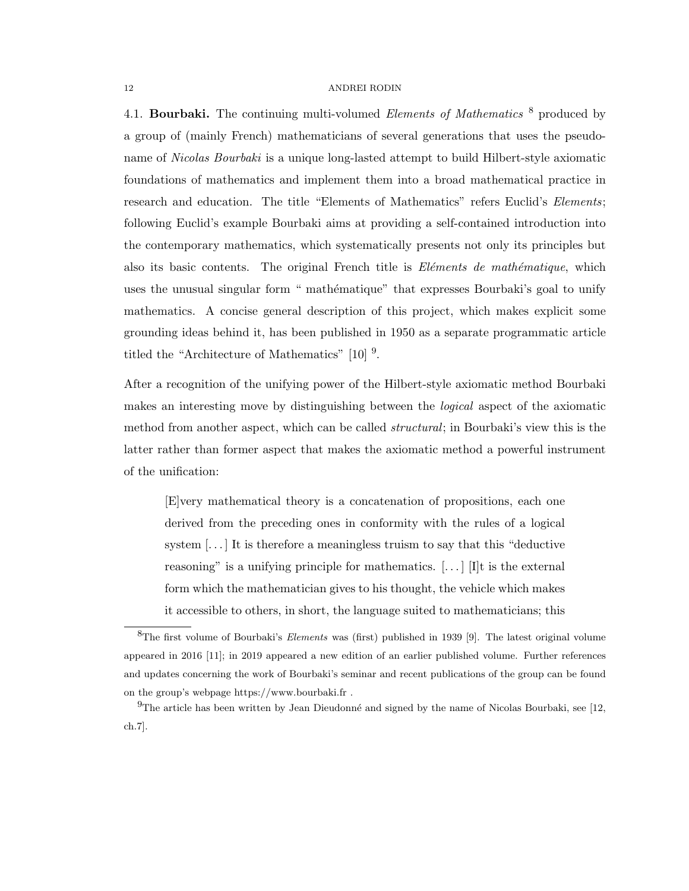4.1. **Bourbaki.** The continuing multi-volumed *Elements of Mathematics*  $\delta$  produced by a group of (mainly French) mathematicians of several generations that uses the pseudoname of *Nicolas Bourbaki* is a unique long-lasted attempt to build Hilbert-style axiomatic foundations of mathematics and implement them into a broad mathematical practice in research and education. The title "Elements of Mathematics" refers Euclid's *Elements*; following Euclid's example Bourbaki aims at providing a self-contained introduction into the contemporary mathematics, which systematically presents not only its principles but also its basic contents. The original French title is  $E\nparallel$  mether and  $h$ ematique, which uses the unusual singular form " mathématique" that expresses Bourbaki's goal to unify mathematics. A concise general description of this project, which makes explicit some grounding ideas behind it, has been published in 1950 as a separate programmatic article titled the "Architecture of Mathematics"  $[10]$ <sup>9</sup>.

After a recognition of the unifying power of the Hilbert-style axiomatic method Bourbaki makes an interesting move by distinguishing between the logical aspect of the axiomatic method from another aspect, which can be called *structural*; in Bourbaki's view this is the latter rather than former aspect that makes the axiomatic method a powerful instrument of the unification:

[E]very mathematical theory is a concatenation of propositions, each one derived from the preceding ones in conformity with the rules of a logical system  $[\dots]$  It is therefore a meaningless truism to say that this "deductive reasoning" is a unifying principle for mathematics.  $[\ldots]$  [I]t is the external form which the mathematician gives to his thought, the vehicle which makes it accessible to others, in short, the language suited to mathematicians; this

 ${}^{8}$ The first volume of Bourbaki's *Elements* was (first) published in 1939 [9]. The latest original volume appeared in 2016 [11]; in 2019 appeared a new edition of an earlier published volume. Further references and updates concerning the work of Bourbaki's seminar and recent publications of the group can be found on the group's webpage https://www.bourbaki.fr .

 $9$ The article has been written by Jean Dieudonné and signed by the name of Nicolas Bourbaki, see [12, ch.7].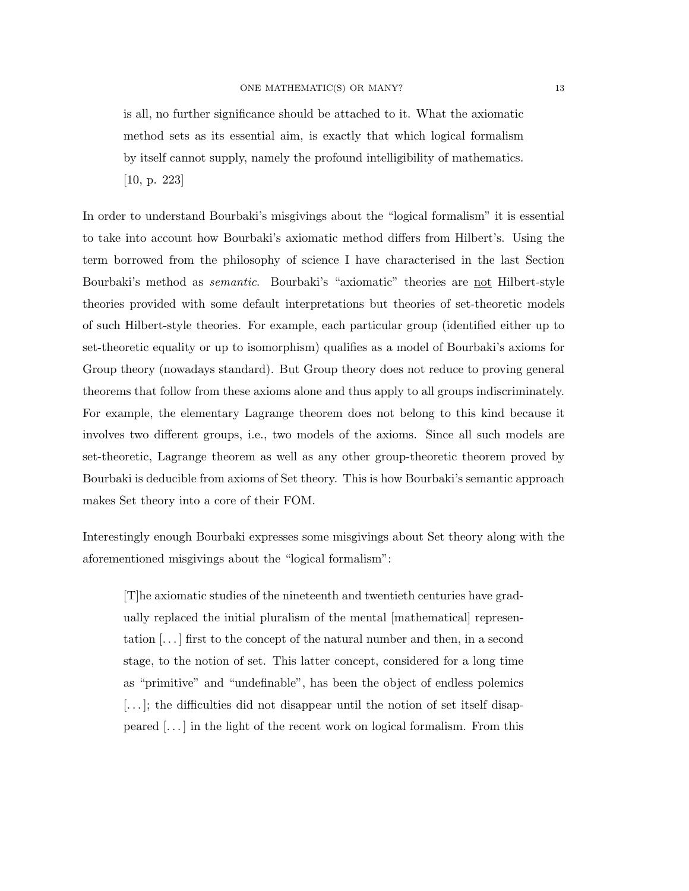is all, no further significance should be attached to it. What the axiomatic method sets as its essential aim, is exactly that which logical formalism by itself cannot supply, namely the profound intelligibility of mathematics. [10, p. 223]

In order to understand Bourbaki's misgivings about the "logical formalism" it is essential to take into account how Bourbaki's axiomatic method differs from Hilbert's. Using the term borrowed from the philosophy of science I have characterised in the last Section Bourbaki's method as *semantic*. Bourbaki's "axiomatic" theories are not Hilbert-style theories provided with some default interpretations but theories of set-theoretic models of such Hilbert-style theories. For example, each particular group (identified either up to set-theoretic equality or up to isomorphism) qualifies as a model of Bourbaki's axioms for Group theory (nowadays standard). But Group theory does not reduce to proving general theorems that follow from these axioms alone and thus apply to all groups indiscriminately. For example, the elementary Lagrange theorem does not belong to this kind because it involves two different groups, i.e., two models of the axioms. Since all such models are set-theoretic, Lagrange theorem as well as any other group-theoretic theorem proved by Bourbaki is deducible from axioms of Set theory. This is how Bourbaki's semantic approach makes Set theory into a core of their FOM.

Interestingly enough Bourbaki expresses some misgivings about Set theory along with the aforementioned misgivings about the "logical formalism":

[T]he axiomatic studies of the nineteenth and twentieth centuries have gradually replaced the initial pluralism of the mental [mathematical] representation [. . . ] first to the concept of the natural number and then, in a second stage, to the notion of set. This latter concept, considered for a long time as "primitive" and "undefinable", has been the object of endless polemics [...]; the difficulties did not disappear until the notion of set itself disappeared [. . . ] in the light of the recent work on logical formalism. From this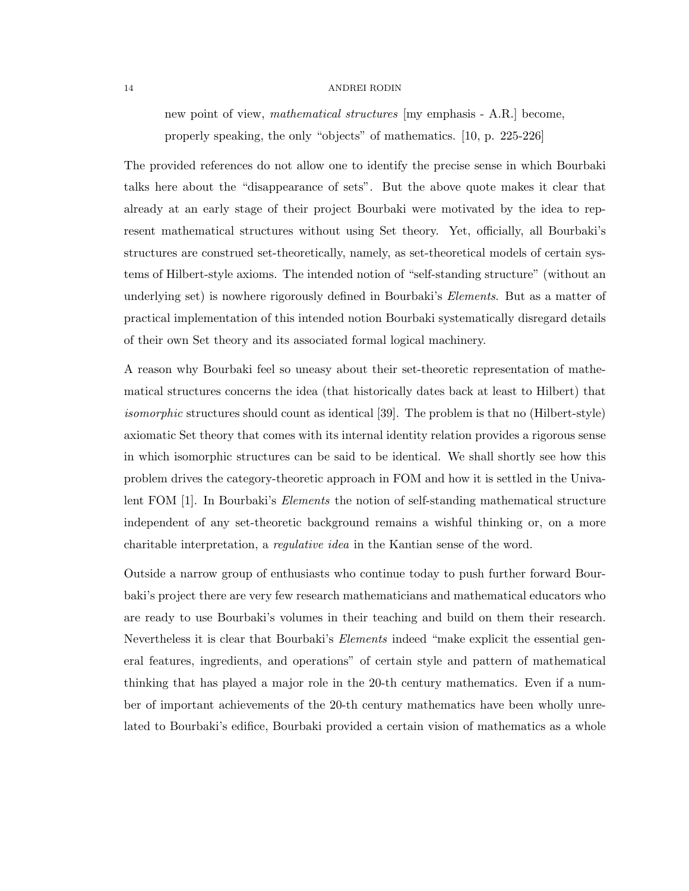new point of view, mathematical structures [my emphasis - A.R.] become, properly speaking, the only "objects" of mathematics. [10, p. 225-226]

The provided references do not allow one to identify the precise sense in which Bourbaki talks here about the "disappearance of sets". But the above quote makes it clear that already at an early stage of their project Bourbaki were motivated by the idea to represent mathematical structures without using Set theory. Yet, officially, all Bourbaki's structures are construed set-theoretically, namely, as set-theoretical models of certain systems of Hilbert-style axioms. The intended notion of "self-standing structure" (without an underlying set) is nowhere rigorously defined in Bourbaki's *Elements*. But as a matter of practical implementation of this intended notion Bourbaki systematically disregard details of their own Set theory and its associated formal logical machinery.

A reason why Bourbaki feel so uneasy about their set-theoretic representation of mathematical structures concerns the idea (that historically dates back at least to Hilbert) that isomorphic structures should count as identical [39]. The problem is that no (Hilbert-style) axiomatic Set theory that comes with its internal identity relation provides a rigorous sense in which isomorphic structures can be said to be identical. We shall shortly see how this problem drives the category-theoretic approach in FOM and how it is settled in the Univalent FOM [1]. In Bourbaki's *Elements* the notion of self-standing mathematical structure independent of any set-theoretic background remains a wishful thinking or, on a more charitable interpretation, a regulative idea in the Kantian sense of the word.

Outside a narrow group of enthusiasts who continue today to push further forward Bourbaki's project there are very few research mathematicians and mathematical educators who are ready to use Bourbaki's volumes in their teaching and build on them their research. Nevertheless it is clear that Bourbaki's *Elements* indeed "make explicit the essential general features, ingredients, and operations" of certain style and pattern of mathematical thinking that has played a major role in the 20-th century mathematics. Even if a number of important achievements of the 20-th century mathematics have been wholly unrelated to Bourbaki's edifice, Bourbaki provided a certain vision of mathematics as a whole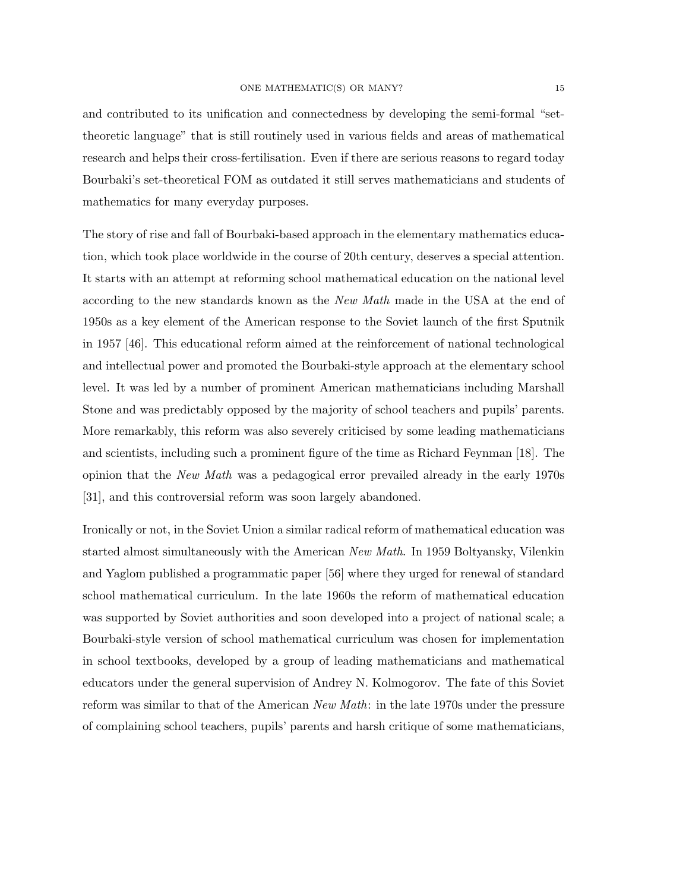and contributed to its unification and connectedness by developing the semi-formal "settheoretic language" that is still routinely used in various fields and areas of mathematical research and helps their cross-fertilisation. Even if there are serious reasons to regard today Bourbaki's set-theoretical FOM as outdated it still serves mathematicians and students of mathematics for many everyday purposes.

The story of rise and fall of Bourbaki-based approach in the elementary mathematics education, which took place worldwide in the course of 20th century, deserves a special attention. It starts with an attempt at reforming school mathematical education on the national level according to the new standards known as the New Math made in the USA at the end of 1950s as a key element of the American response to the Soviet launch of the first Sputnik in 1957 [46]. This educational reform aimed at the reinforcement of national technological and intellectual power and promoted the Bourbaki-style approach at the elementary school level. It was led by a number of prominent American mathematicians including Marshall Stone and was predictably opposed by the majority of school teachers and pupils' parents. More remarkably, this reform was also severely criticised by some leading mathematicians and scientists, including such a prominent figure of the time as Richard Feynman [18]. The opinion that the New Math was a pedagogical error prevailed already in the early 1970s [31], and this controversial reform was soon largely abandoned.

Ironically or not, in the Soviet Union a similar radical reform of mathematical education was started almost simultaneously with the American New Math. In 1959 Boltyansky, Vilenkin and Yaglom published a programmatic paper [56] where they urged for renewal of standard school mathematical curriculum. In the late 1960s the reform of mathematical education was supported by Soviet authorities and soon developed into a project of national scale; a Bourbaki-style version of school mathematical curriculum was chosen for implementation in school textbooks, developed by a group of leading mathematicians and mathematical educators under the general supervision of Andrey N. Kolmogorov. The fate of this Soviet reform was similar to that of the American New Math: in the late 1970s under the pressure of complaining school teachers, pupils' parents and harsh critique of some mathematicians,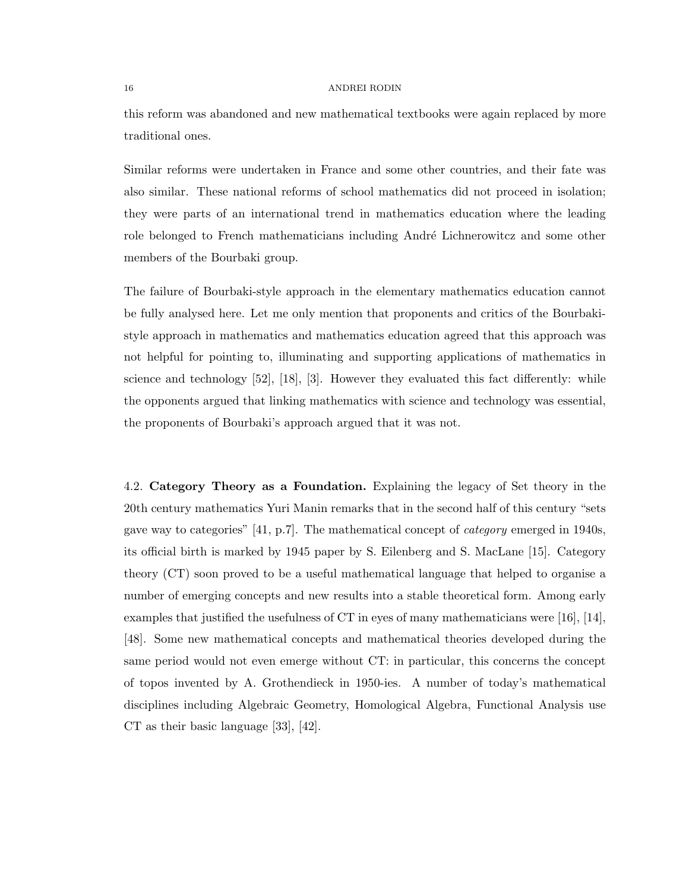this reform was abandoned and new mathematical textbooks were again replaced by more traditional ones.

Similar reforms were undertaken in France and some other countries, and their fate was also similar. These national reforms of school mathematics did not proceed in isolation; they were parts of an international trend in mathematics education where the leading role belonged to French mathematicians including André Lichnerowitcz and some other members of the Bourbaki group.

The failure of Bourbaki-style approach in the elementary mathematics education cannot be fully analysed here. Let me only mention that proponents and critics of the Bourbakistyle approach in mathematics and mathematics education agreed that this approach was not helpful for pointing to, illuminating and supporting applications of mathematics in science and technology  $[52]$ ,  $[18]$ ,  $[3]$ . However they evaluated this fact differently: while the opponents argued that linking mathematics with science and technology was essential, the proponents of Bourbaki's approach argued that it was not.

4.2. Category Theory as a Foundation. Explaining the legacy of Set theory in the 20th century mathematics Yuri Manin remarks that in the second half of this century "sets gave way to categories" [41, p.7]. The mathematical concept of category emerged in 1940s, its official birth is marked by 1945 paper by S. Eilenberg and S. MacLane [15]. Category theory (CT) soon proved to be a useful mathematical language that helped to organise a number of emerging concepts and new results into a stable theoretical form. Among early examples that justified the usefulness of CT in eyes of many mathematicians were [16], [14], [48]. Some new mathematical concepts and mathematical theories developed during the same period would not even emerge without CT: in particular, this concerns the concept of topos invented by A. Grothendieck in 1950-ies. A number of today's mathematical disciplines including Algebraic Geometry, Homological Algebra, Functional Analysis use CT as their basic language [33], [42].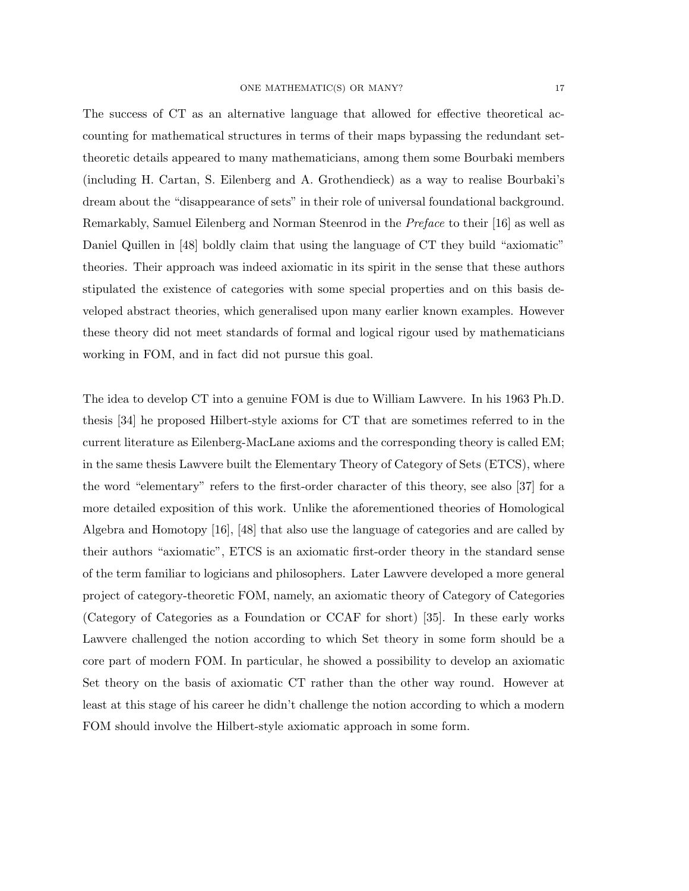The success of CT as an alternative language that allowed for effective theoretical accounting for mathematical structures in terms of their maps bypassing the redundant settheoretic details appeared to many mathematicians, among them some Bourbaki members (including H. Cartan, S. Eilenberg and A. Grothendieck) as a way to realise Bourbaki's dream about the "disappearance of sets" in their role of universal foundational background. Remarkably, Samuel Eilenberg and Norman Steenrod in the Preface to their [16] as well as Daniel Quillen in [48] boldly claim that using the language of CT they build "axiomatic" theories. Their approach was indeed axiomatic in its spirit in the sense that these authors stipulated the existence of categories with some special properties and on this basis developed abstract theories, which generalised upon many earlier known examples. However these theory did not meet standards of formal and logical rigour used by mathematicians working in FOM, and in fact did not pursue this goal.

The idea to develop CT into a genuine FOM is due to William Lawvere. In his 1963 Ph.D. thesis [34] he proposed Hilbert-style axioms for CT that are sometimes referred to in the current literature as Eilenberg-MacLane axioms and the corresponding theory is called EM; in the same thesis Lawvere built the Elementary Theory of Category of Sets (ETCS), where the word "elementary" refers to the first-order character of this theory, see also [37] for a more detailed exposition of this work. Unlike the aforementioned theories of Homological Algebra and Homotopy [16], [48] that also use the language of categories and are called by their authors "axiomatic", ETCS is an axiomatic first-order theory in the standard sense of the term familiar to logicians and philosophers. Later Lawvere developed a more general project of category-theoretic FOM, namely, an axiomatic theory of Category of Categories (Category of Categories as a Foundation or CCAF for short) [35]. In these early works Lawvere challenged the notion according to which Set theory in some form should be a core part of modern FOM. In particular, he showed a possibility to develop an axiomatic Set theory on the basis of axiomatic CT rather than the other way round. However at least at this stage of his career he didn't challenge the notion according to which a modern FOM should involve the Hilbert-style axiomatic approach in some form.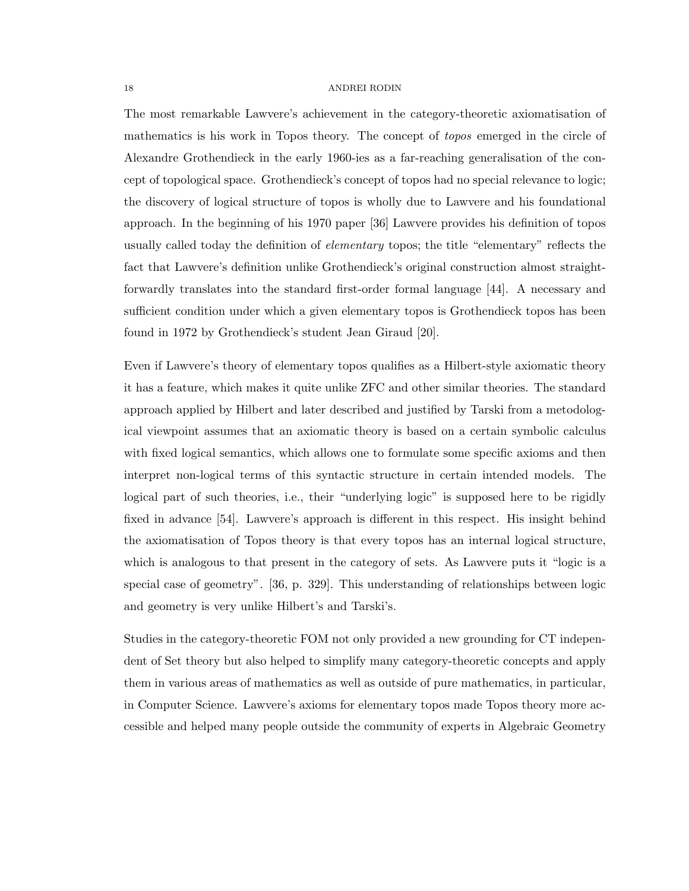The most remarkable Lawvere's achievement in the category-theoretic axiomatisation of mathematics is his work in Topos theory. The concept of *topos* emerged in the circle of Alexandre Grothendieck in the early 1960-ies as a far-reaching generalisation of the concept of topological space. Grothendieck's concept of topos had no special relevance to logic; the discovery of logical structure of topos is wholly due to Lawvere and his foundational approach. In the beginning of his 1970 paper [36] Lawvere provides his definition of topos usually called today the definition of *elementary* topos; the title "elementary" reflects the fact that Lawvere's definition unlike Grothendieck's original construction almost straightforwardly translates into the standard first-order formal language [44]. A necessary and sufficient condition under which a given elementary topos is Grothendieck topos has been found in 1972 by Grothendieck's student Jean Giraud [20].

Even if Lawvere's theory of elementary topos qualifies as a Hilbert-style axiomatic theory it has a feature, which makes it quite unlike ZFC and other similar theories. The standard approach applied by Hilbert and later described and justified by Tarski from a metodological viewpoint assumes that an axiomatic theory is based on a certain symbolic calculus with fixed logical semantics, which allows one to formulate some specific axioms and then interpret non-logical terms of this syntactic structure in certain intended models. The logical part of such theories, i.e., their "underlying logic" is supposed here to be rigidly fixed in advance [54]. Lawvere's approach is different in this respect. His insight behind the axiomatisation of Topos theory is that every topos has an internal logical structure, which is analogous to that present in the category of sets. As Lawvere puts it "logic is a special case of geometry". [36, p. 329]. This understanding of relationships between logic and geometry is very unlike Hilbert's and Tarski's.

Studies in the category-theoretic FOM not only provided a new grounding for CT independent of Set theory but also helped to simplify many category-theoretic concepts and apply them in various areas of mathematics as well as outside of pure mathematics, in particular, in Computer Science. Lawvere's axioms for elementary topos made Topos theory more accessible and helped many people outside the community of experts in Algebraic Geometry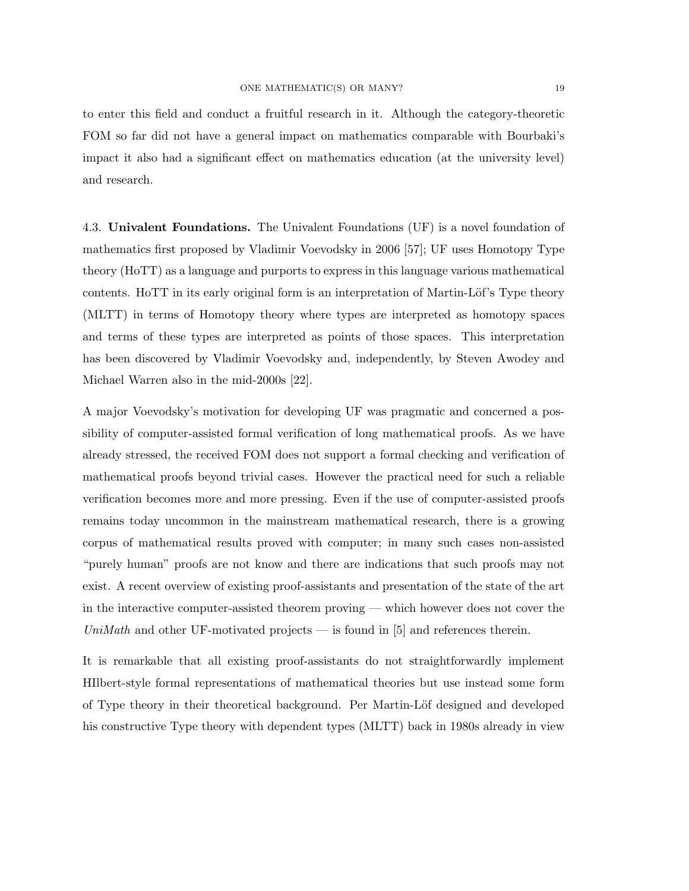to enter this field and conduct a fruitful research in it. Although the category-theoretic FOM so far did not have a general impact on mathematics comparable with Bourbaki's impact it also had a significant effect on mathematics education (at the university level) and research.

4.3. Univalent Foundations. The Univalent Foundations (UF) is a novel foundation of mathematics first proposed by Vladimir Voevodsky in 2006 [57]; UF uses Homotopy Type theory (HoTT) as a language and purports to express in this language various mathematical contents. HoTT in its early original form is an interpretation of Martin-Löf's Type theory (MLTT) in terms of Homotopy theory where types are interpreted as homotopy spaces and terms of these types are interpreted as points of those spaces. This interpretation has been discovered by Vladimir Voevodsky and, independently, by Steven Awodey and Michael Warren also in the mid-2000s [22].

A major Voevodsky's motivation for developing UF was pragmatic and concerned a possibility of computer-assisted formal verification of long mathematical proofs. As we have already stressed, the received FOM does not support a formal checking and verification of mathematical proofs beyond trivial cases. However the practical need for such a reliable verification becomes more and more pressing. Even if the use of computer-assisted proofs remains today uncommon in the mainstream mathematical research, there is a growing corpus of mathematical results proved with computer; in many such cases non-assisted "purely human" proofs are not know and there are indications that such proofs may not exist. A recent overview of existing proof-assistants and presentation of the state of the art in the interactive computer-assisted theorem proving — which however does not cover the UniMath and other UF-motivated projects — is found in  $[5]$  and references therein.

It is remarkable that all existing proof-assistants do not straightforwardly implement HIlbert-style formal representations of mathematical theories but use instead some form of Type theory in their theoretical background. Per Martin-Löf designed and developed his constructive Type theory with dependent types (MLTT) back in 1980s already in view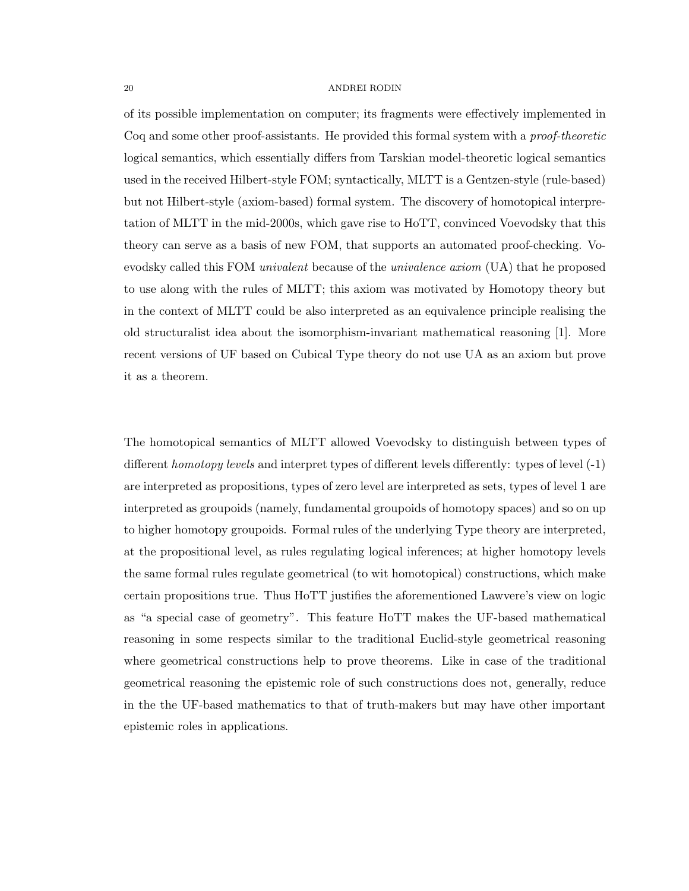of its possible implementation on computer; its fragments were effectively implemented in Coq and some other proof-assistants. He provided this formal system with a *proof-theoretic* logical semantics, which essentially differs from Tarskian model-theoretic logical semantics used in the received Hilbert-style FOM; syntactically, MLTT is a Gentzen-style (rule-based) but not Hilbert-style (axiom-based) formal system. The discovery of homotopical interpretation of MLTT in the mid-2000s, which gave rise to HoTT, convinced Voevodsky that this theory can serve as a basis of new FOM, that supports an automated proof-checking. Voevodsky called this FOM *univalent* because of the *univalence axiom* (UA) that he proposed to use along with the rules of MLTT; this axiom was motivated by Homotopy theory but in the context of MLTT could be also interpreted as an equivalence principle realising the old structuralist idea about the isomorphism-invariant mathematical reasoning [1]. More recent versions of UF based on Cubical Type theory do not use UA as an axiom but prove it as a theorem.

The homotopical semantics of MLTT allowed Voevodsky to distinguish between types of different *homotopy levels* and interpret types of different levels differently: types of level  $(-1)$ are interpreted as propositions, types of zero level are interpreted as sets, types of level 1 are interpreted as groupoids (namely, fundamental groupoids of homotopy spaces) and so on up to higher homotopy groupoids. Formal rules of the underlying Type theory are interpreted, at the propositional level, as rules regulating logical inferences; at higher homotopy levels the same formal rules regulate geometrical (to wit homotopical) constructions, which make certain propositions true. Thus HoTT justifies the aforementioned Lawvere's view on logic as "a special case of geometry". This feature HoTT makes the UF-based mathematical reasoning in some respects similar to the traditional Euclid-style geometrical reasoning where geometrical constructions help to prove theorems. Like in case of the traditional geometrical reasoning the epistemic role of such constructions does not, generally, reduce in the the UF-based mathematics to that of truth-makers but may have other important epistemic roles in applications.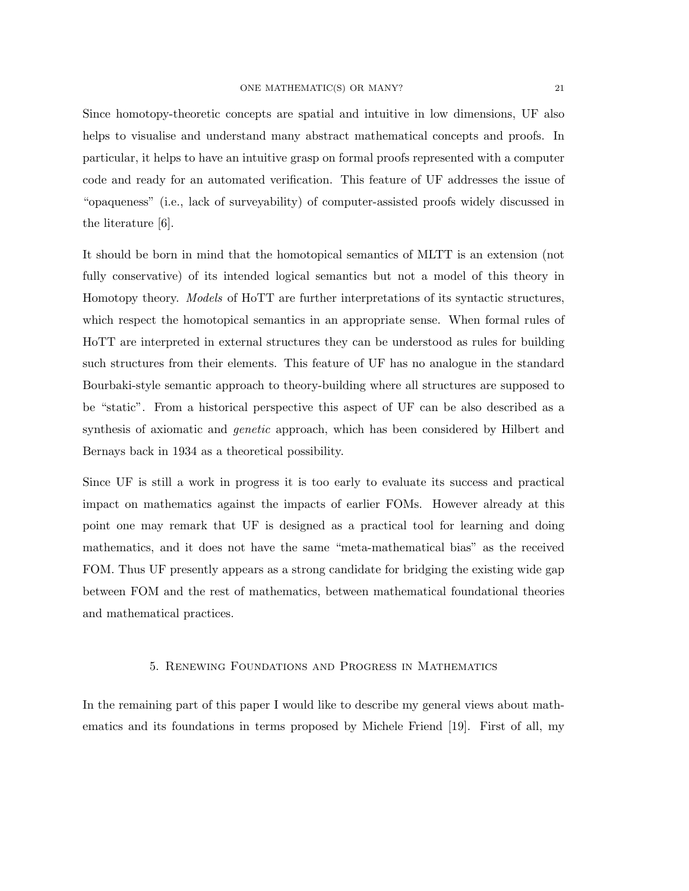Since homotopy-theoretic concepts are spatial and intuitive in low dimensions, UF also helps to visualise and understand many abstract mathematical concepts and proofs. In particular, it helps to have an intuitive grasp on formal proofs represented with a computer code and ready for an automated verification. This feature of UF addresses the issue of "opaqueness" (i.e., lack of surveyability) of computer-assisted proofs widely discussed in the literature [6].

It should be born in mind that the homotopical semantics of MLTT is an extension (not fully conservative) of its intended logical semantics but not a model of this theory in Homotopy theory. Models of HoTT are further interpretations of its syntactic structures, which respect the homotopical semantics in an appropriate sense. When formal rules of HoTT are interpreted in external structures they can be understood as rules for building such structures from their elements. This feature of UF has no analogue in the standard Bourbaki-style semantic approach to theory-building where all structures are supposed to be "static". From a historical perspective this aspect of UF can be also described as a synthesis of axiomatic and genetic approach, which has been considered by Hilbert and Bernays back in 1934 as a theoretical possibility.

Since UF is still a work in progress it is too early to evaluate its success and practical impact on mathematics against the impacts of earlier FOMs. However already at this point one may remark that UF is designed as a practical tool for learning and doing mathematics, and it does not have the same "meta-mathematical bias" as the received FOM. Thus UF presently appears as a strong candidate for bridging the existing wide gap between FOM and the rest of mathematics, between mathematical foundational theories and mathematical practices.

# 5. Renewing Foundations and Progress in Mathematics

In the remaining part of this paper I would like to describe my general views about mathematics and its foundations in terms proposed by Michele Friend [19]. First of all, my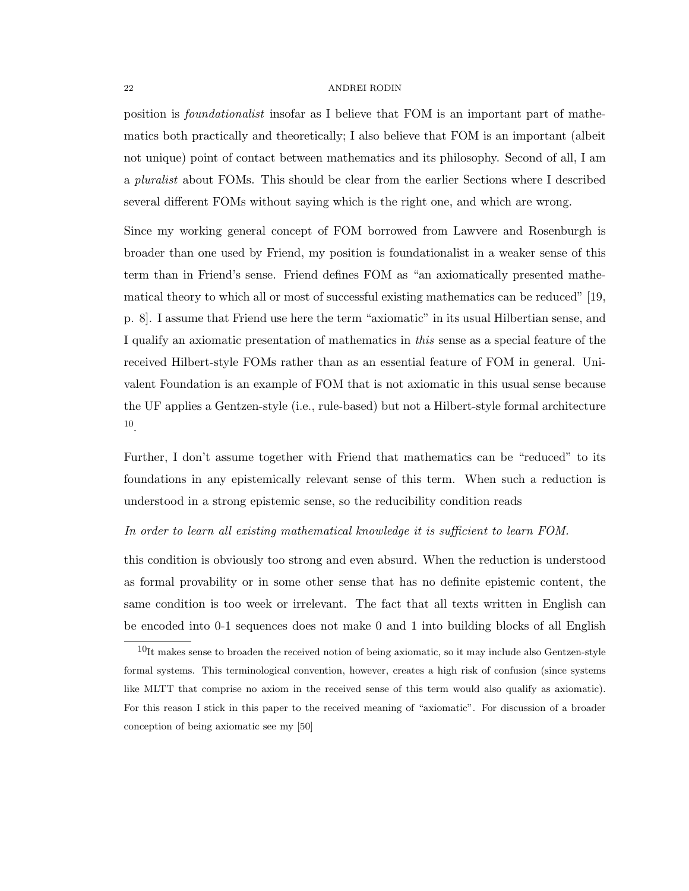position is foundationalist insofar as I believe that FOM is an important part of mathematics both practically and theoretically; I also believe that FOM is an important (albeit not unique) point of contact between mathematics and its philosophy. Second of all, I am a *pluralist* about FOMs. This should be clear from the earlier Sections where I described several different FOMs without saying which is the right one, and which are wrong.

Since my working general concept of FOM borrowed from Lawvere and Rosenburgh is broader than one used by Friend, my position is foundationalist in a weaker sense of this term than in Friend's sense. Friend defines FOM as "an axiomatically presented mathematical theory to which all or most of successful existing mathematics can be reduced" [19, p. 8]. I assume that Friend use here the term "axiomatic" in its usual Hilbertian sense, and I qualify an axiomatic presentation of mathematics in this sense as a special feature of the received Hilbert-style FOMs rather than as an essential feature of FOM in general. Univalent Foundation is an example of FOM that is not axiomatic in this usual sense because the UF applies a Gentzen-style (i.e., rule-based) but not a Hilbert-style formal architecture 10 .

Further, I don't assume together with Friend that mathematics can be "reduced" to its foundations in any epistemically relevant sense of this term. When such a reduction is understood in a strong epistemic sense, so the reducibility condition reads

## In order to learn all existing mathematical knowledge it is sufficient to learn FOM.

this condition is obviously too strong and even absurd. When the reduction is understood as formal provability or in some other sense that has no definite epistemic content, the same condition is too week or irrelevant. The fact that all texts written in English can be encoded into 0-1 sequences does not make 0 and 1 into building blocks of all English

 $10$ It makes sense to broaden the received notion of being axiomatic, so it may include also Gentzen-style formal systems. This terminological convention, however, creates a high risk of confusion (since systems like MLTT that comprise no axiom in the received sense of this term would also qualify as axiomatic). For this reason I stick in this paper to the received meaning of "axiomatic". For discussion of a broader conception of being axiomatic see my [50]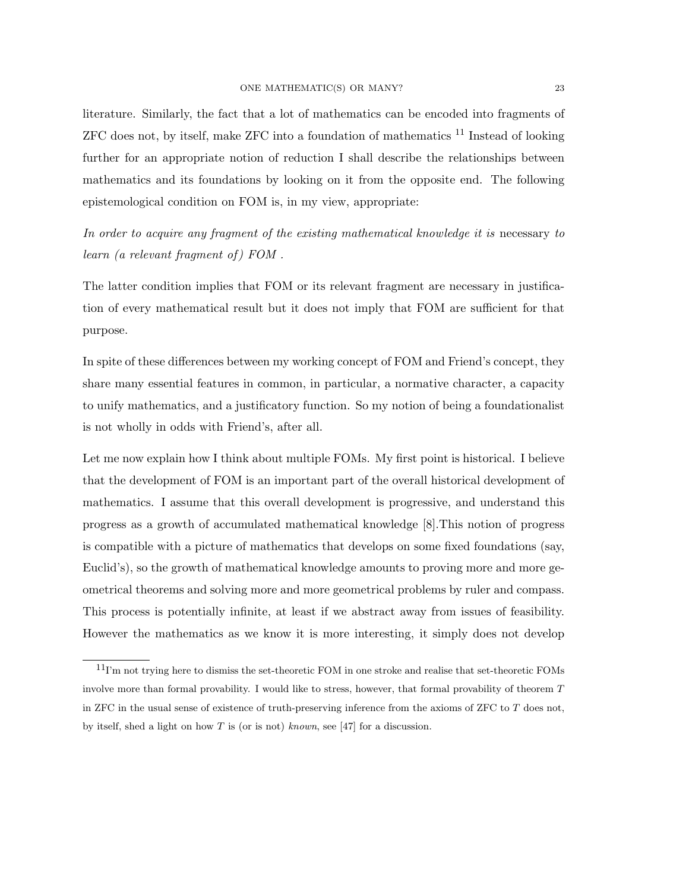literature. Similarly, the fact that a lot of mathematics can be encoded into fragments of  $ZFC$  does not, by itself, make  $ZFC$  into a foundation of mathematics  $^{11}$  Instead of looking further for an appropriate notion of reduction I shall describe the relationships between mathematics and its foundations by looking on it from the opposite end. The following epistemological condition on FOM is, in my view, appropriate:

In order to acquire any fragment of the existing mathematical knowledge it is necessary to learn (a relevant fragment of ) FOM .

The latter condition implies that FOM or its relevant fragment are necessary in justification of every mathematical result but it does not imply that FOM are sufficient for that purpose.

In spite of these differences between my working concept of FOM and Friend's concept, they share many essential features in common, in particular, a normative character, a capacity to unify mathematics, and a justificatory function. So my notion of being a foundationalist is not wholly in odds with Friend's, after all.

Let me now explain how I think about multiple FOMs. My first point is historical. I believe that the development of FOM is an important part of the overall historical development of mathematics. I assume that this overall development is progressive, and understand this progress as a growth of accumulated mathematical knowledge [8].This notion of progress is compatible with a picture of mathematics that develops on some fixed foundations (say, Euclid's), so the growth of mathematical knowledge amounts to proving more and more geometrical theorems and solving more and more geometrical problems by ruler and compass. This process is potentially infinite, at least if we abstract away from issues of feasibility. However the mathematics as we know it is more interesting, it simply does not develop

 $11$ I'm not trying here to dismiss the set-theoretic FOM in one stroke and realise that set-theoretic FOMs involve more than formal provability. I would like to stress, however, that formal provability of theorem T in ZFC in the usual sense of existence of truth-preserving inference from the axioms of ZFC to T does not, by itself, shed a light on how T is (or is not) known, see [47] for a discussion.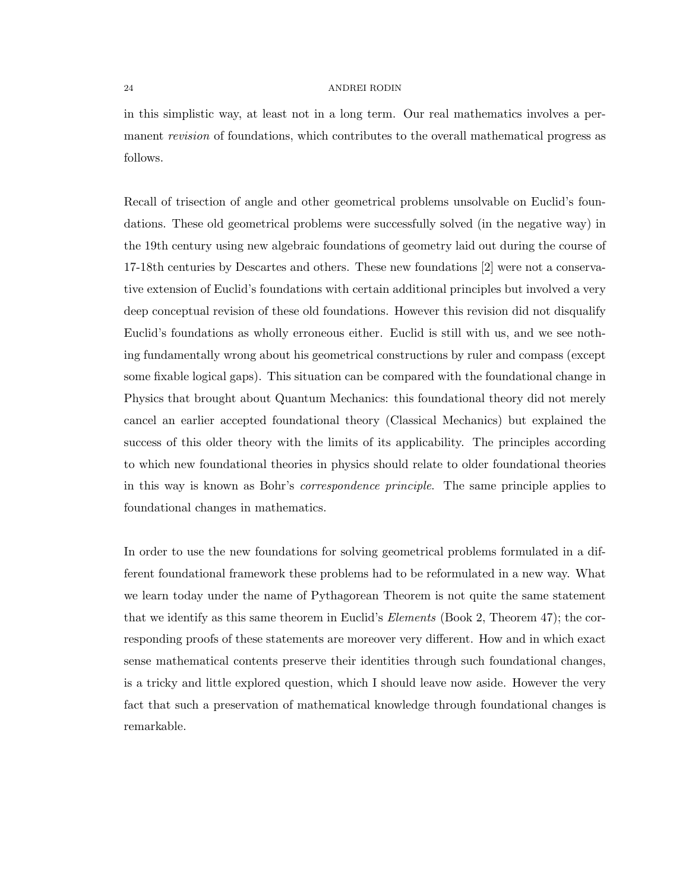in this simplistic way, at least not in a long term. Our real mathematics involves a permanent *revision* of foundations, which contributes to the overall mathematical progress as follows.

Recall of trisection of angle and other geometrical problems unsolvable on Euclid's foundations. These old geometrical problems were successfully solved (in the negative way) in the 19th century using new algebraic foundations of geometry laid out during the course of 17-18th centuries by Descartes and others. These new foundations [2] were not a conservative extension of Euclid's foundations with certain additional principles but involved a very deep conceptual revision of these old foundations. However this revision did not disqualify Euclid's foundations as wholly erroneous either. Euclid is still with us, and we see nothing fundamentally wrong about his geometrical constructions by ruler and compass (except some fixable logical gaps). This situation can be compared with the foundational change in Physics that brought about Quantum Mechanics: this foundational theory did not merely cancel an earlier accepted foundational theory (Classical Mechanics) but explained the success of this older theory with the limits of its applicability. The principles according to which new foundational theories in physics should relate to older foundational theories in this way is known as Bohr's correspondence principle. The same principle applies to foundational changes in mathematics.

In order to use the new foundations for solving geometrical problems formulated in a different foundational framework these problems had to be reformulated in a new way. What we learn today under the name of Pythagorean Theorem is not quite the same statement that we identify as this same theorem in Euclid's Elements (Book 2, Theorem 47); the corresponding proofs of these statements are moreover very different. How and in which exact sense mathematical contents preserve their identities through such foundational changes, is a tricky and little explored question, which I should leave now aside. However the very fact that such a preservation of mathematical knowledge through foundational changes is remarkable.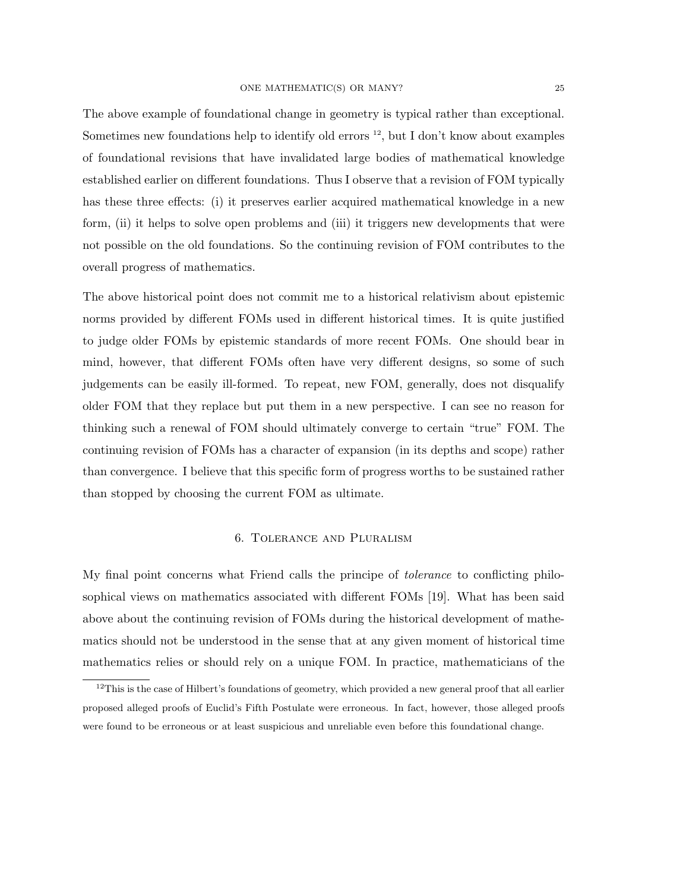The above example of foundational change in geometry is typical rather than exceptional. Sometimes new foundations help to identify old errors  $^{12}$ , but I don't know about examples of foundational revisions that have invalidated large bodies of mathematical knowledge established earlier on different foundations. Thus I observe that a revision of FOM typically has these three effects: (i) it preserves earlier acquired mathematical knowledge in a new form, (ii) it helps to solve open problems and (iii) it triggers new developments that were not possible on the old foundations. So the continuing revision of FOM contributes to the overall progress of mathematics.

The above historical point does not commit me to a historical relativism about epistemic norms provided by different FOMs used in different historical times. It is quite justified to judge older FOMs by epistemic standards of more recent FOMs. One should bear in mind, however, that different FOMs often have very different designs, so some of such judgements can be easily ill-formed. To repeat, new FOM, generally, does not disqualify older FOM that they replace but put them in a new perspective. I can see no reason for thinking such a renewal of FOM should ultimately converge to certain "true" FOM. The continuing revision of FOMs has a character of expansion (in its depths and scope) rather than convergence. I believe that this specific form of progress worths to be sustained rather than stopped by choosing the current FOM as ultimate.

# 6. Tolerance and Pluralism

My final point concerns what Friend calls the principe of tolerance to conflicting philosophical views on mathematics associated with different FOMs [19]. What has been said above about the continuing revision of FOMs during the historical development of mathematics should not be understood in the sense that at any given moment of historical time mathematics relies or should rely on a unique FOM. In practice, mathematicians of the

 $12$ This is the case of Hilbert's foundations of geometry, which provided a new general proof that all earlier proposed alleged proofs of Euclid's Fifth Postulate were erroneous. In fact, however, those alleged proofs were found to be erroneous or at least suspicious and unreliable even before this foundational change.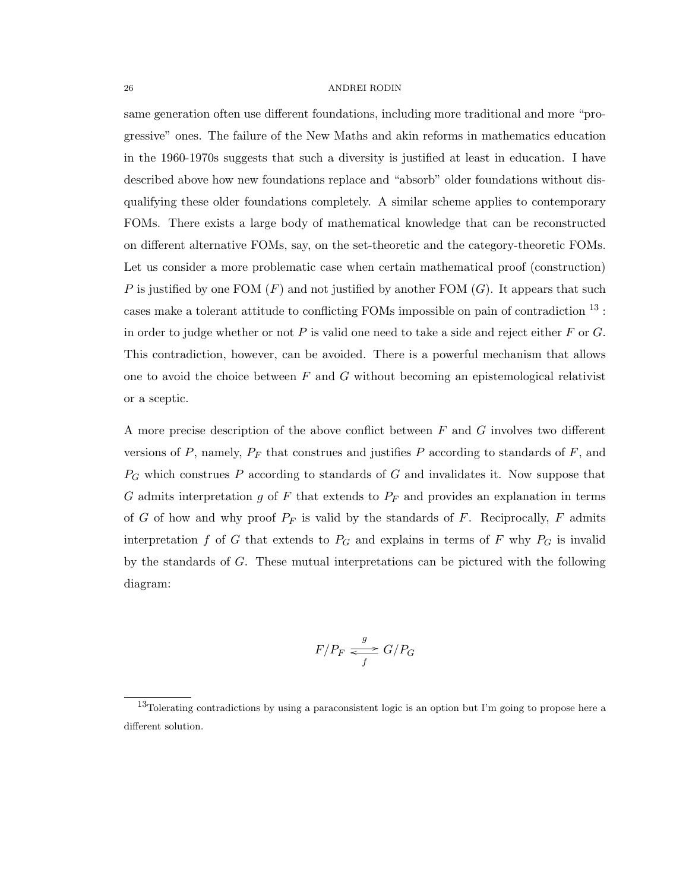same generation often use different foundations, including more traditional and more "progressive" ones. The failure of the New Maths and akin reforms in mathematics education in the 1960-1970s suggests that such a diversity is justified at least in education. I have described above how new foundations replace and "absorb" older foundations without disqualifying these older foundations completely. A similar scheme applies to contemporary FOMs. There exists a large body of mathematical knowledge that can be reconstructed on different alternative FOMs, say, on the set-theoretic and the category-theoretic FOMs. Let us consider a more problematic case when certain mathematical proof (construction) P is justified by one FOM  $(F)$  and not justified by another FOM  $(G)$ . It appears that such cases make a tolerant attitude to conflicting FOMs impossible on pain of contradiction <sup>13</sup> : in order to judge whether or not  $P$  is valid one need to take a side and reject either  $F$  or  $G$ . This contradiction, however, can be avoided. There is a powerful mechanism that allows one to avoid the choice between  $F$  and  $G$  without becoming an epistemological relativist or a sceptic.

A more precise description of the above conflict between F and G involves two different versions of  $P$ , namely,  $P_F$  that construes and justifies  $P$  according to standards of  $F$ , and  $P_G$  which construes P according to standards of G and invalidates it. Now suppose that G admits interpretation g of F that extends to  $P_F$  and provides an explanation in terms of G of how and why proof  $P_F$  is valid by the standards of F. Reciprocally, F admits interpretation f of G that extends to  $P_G$  and explains in terms of F why  $P_G$  is invalid by the standards of G. These mutual interpretations can be pictured with the following diagram:

$$
F/P_F \xrightarrow{g} G/P_G
$$

<sup>13</sup>Tolerating contradictions by using a paraconsistent logic is an option but I'm going to propose here a different solution.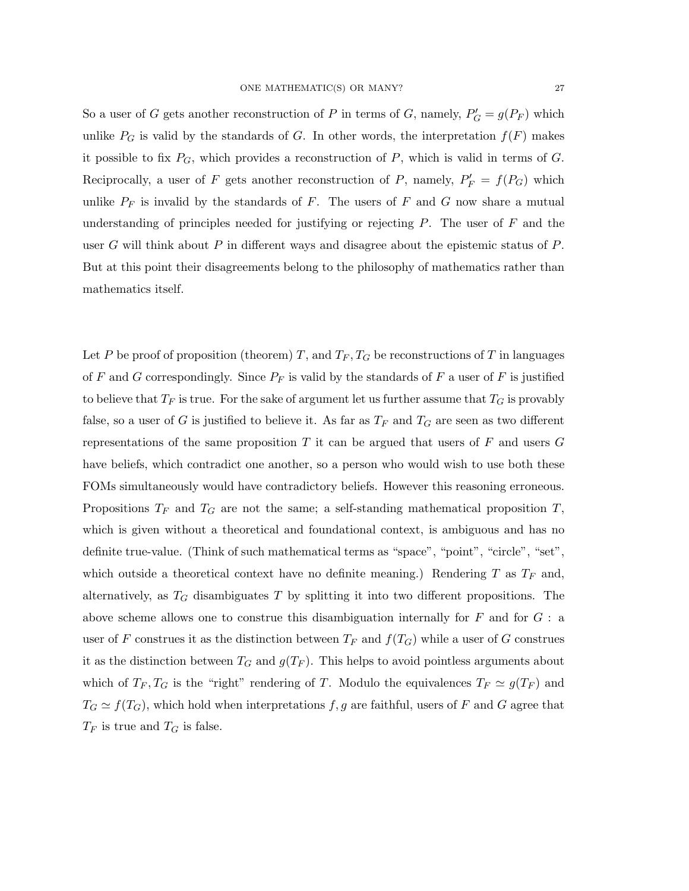So a user of G gets another reconstruction of P in terms of G, namely,  $P'_{G} = g(P_{F})$  which unlike  $P_G$  is valid by the standards of G. In other words, the interpretation  $f(F)$  makes it possible to fix  $P_G$ , which provides a reconstruction of P, which is valid in terms of G. Reciprocally, a user of F gets another reconstruction of P, namely,  $P'_F = f(P_G)$  which unlike  $P_F$  is invalid by the standards of F. The users of F and G now share a mutual understanding of principles needed for justifying or rejecting  $P$ . The user of  $F$  and the user G will think about  $P$  in different ways and disagree about the epistemic status of  $P$ . But at this point their disagreements belong to the philosophy of mathematics rather than mathematics itself.

Let P be proof of proposition (theorem) T, and  $T_F, T_G$  be reconstructions of T in languages of F and G correspondingly. Since  $P_F$  is valid by the standards of F a user of F is justified to believe that  $T_F$  is true. For the sake of argument let us further assume that  $T_G$  is provably false, so a user of G is justified to believe it. As far as  $T_F$  and  $T_G$  are seen as two different representations of the same proposition T it can be argued that users of F and users  $G$ have beliefs, which contradict one another, so a person who would wish to use both these FOMs simultaneously would have contradictory beliefs. However this reasoning erroneous. Propositions  $T_F$  and  $T_G$  are not the same; a self-standing mathematical proposition  $T$ , which is given without a theoretical and foundational context, is ambiguous and has no definite true-value. (Think of such mathematical terms as "space", "point", "circle", "set", which outside a theoretical context have no definite meaning.) Rendering T as  $T_F$  and, alternatively, as  $T_G$  disambiguates T by splitting it into two different propositions. The above scheme allows one to construe this disambiguation internally for  $F$  and for  $G$ : a user of F construes it as the distinction between  $T_F$  and  $f(T_G)$  while a user of G construes it as the distinction between  $T_G$  and  $g(T_F)$ . This helps to avoid pointless arguments about which of  $T_F, T_G$  is the "right" rendering of T. Modulo the equivalences  $T_F \simeq g(T_F)$  and  $T_G \simeq f(T_G)$ , which hold when interpretations f, g are faithful, users of F and G agree that  $T_F$  is true and  $T_G$  is false.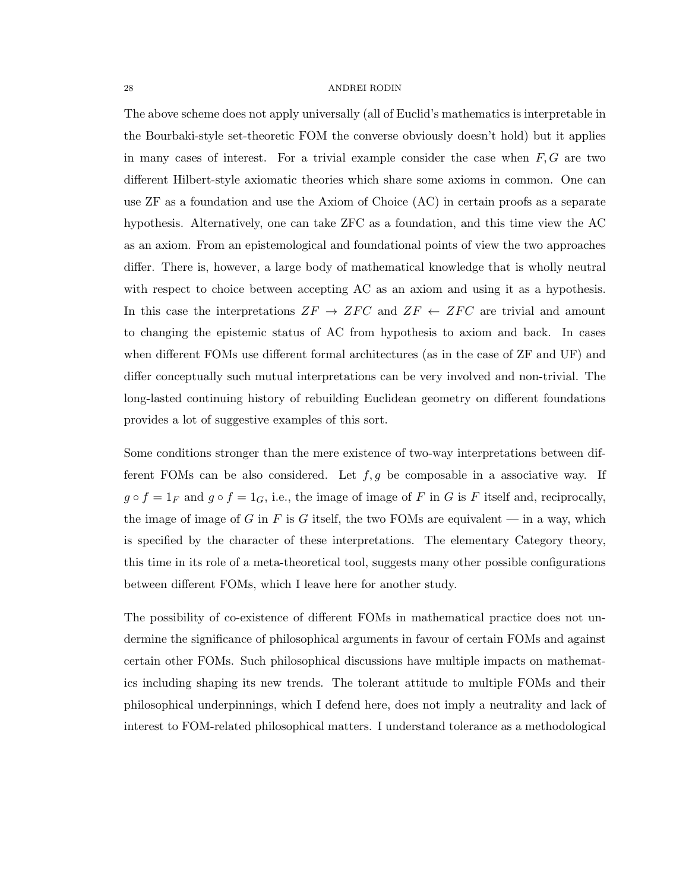The above scheme does not apply universally (all of Euclid's mathematics is interpretable in the Bourbaki-style set-theoretic FOM the converse obviously doesn't hold) but it applies in many cases of interest. For a trivial example consider the case when  $F, G$  are two different Hilbert-style axiomatic theories which share some axioms in common. One can use ZF as a foundation and use the Axiom of Choice (AC) in certain proofs as a separate hypothesis. Alternatively, one can take ZFC as a foundation, and this time view the AC as an axiom. From an epistemological and foundational points of view the two approaches differ. There is, however, a large body of mathematical knowledge that is wholly neutral with respect to choice between accepting AC as an axiom and using it as a hypothesis. In this case the interpretations  $ZF \rightarrow ZFC$  and  $ZF \leftarrow ZFC$  are trivial and amount to changing the epistemic status of AC from hypothesis to axiom and back. In cases when different FOMs use different formal architectures (as in the case of ZF and UF) and differ conceptually such mutual interpretations can be very involved and non-trivial. The long-lasted continuing history of rebuilding Euclidean geometry on different foundations provides a lot of suggestive examples of this sort.

Some conditions stronger than the mere existence of two-way interpretations between different FOMs can be also considered. Let  $f, g$  be composable in a associative way. If  $g \circ f = 1_F$  and  $g \circ f = 1_G$ , i.e., the image of image of F in G is F itself and, reciprocally, the image of image of G in F is G itself, the two FOMs are equivalent  $-$  in a way, which is specified by the character of these interpretations. The elementary Category theory, this time in its role of a meta-theoretical tool, suggests many other possible configurations between different FOMs, which I leave here for another study.

The possibility of co-existence of different FOMs in mathematical practice does not undermine the significance of philosophical arguments in favour of certain FOMs and against certain other FOMs. Such philosophical discussions have multiple impacts on mathematics including shaping its new trends. The tolerant attitude to multiple FOMs and their philosophical underpinnings, which I defend here, does not imply a neutrality and lack of interest to FOM-related philosophical matters. I understand tolerance as a methodological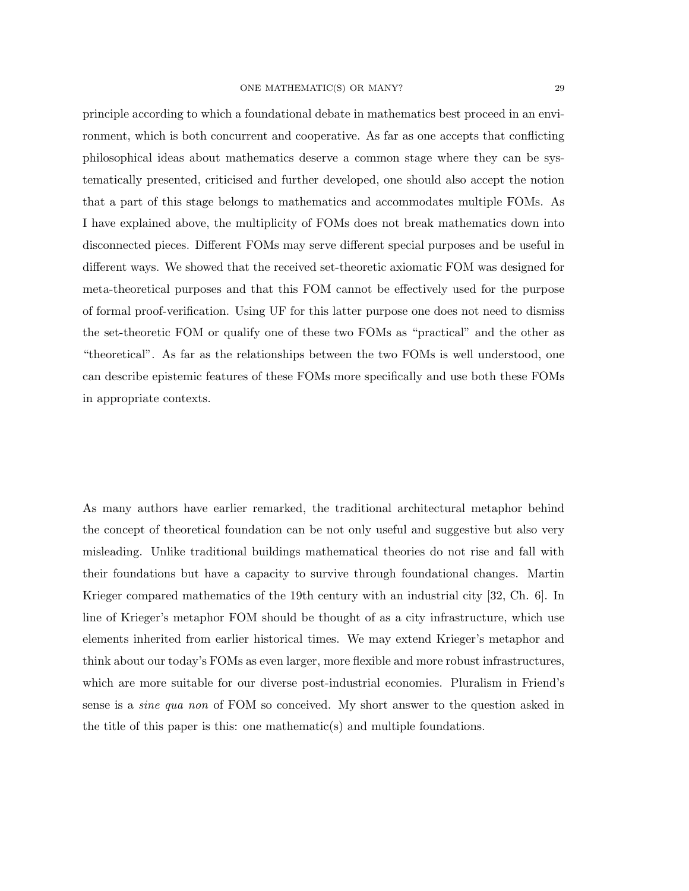principle according to which a foundational debate in mathematics best proceed in an environment, which is both concurrent and cooperative. As far as one accepts that conflicting philosophical ideas about mathematics deserve a common stage where they can be systematically presented, criticised and further developed, one should also accept the notion that a part of this stage belongs to mathematics and accommodates multiple FOMs. As I have explained above, the multiplicity of FOMs does not break mathematics down into disconnected pieces. Different FOMs may serve different special purposes and be useful in different ways. We showed that the received set-theoretic axiomatic FOM was designed for meta-theoretical purposes and that this FOM cannot be effectively used for the purpose of formal proof-verification. Using UF for this latter purpose one does not need to dismiss the set-theoretic FOM or qualify one of these two FOMs as "practical" and the other as "theoretical". As far as the relationships between the two FOMs is well understood, one can describe epistemic features of these FOMs more specifically and use both these FOMs in appropriate contexts.

As many authors have earlier remarked, the traditional architectural metaphor behind the concept of theoretical foundation can be not only useful and suggestive but also very misleading. Unlike traditional buildings mathematical theories do not rise and fall with their foundations but have a capacity to survive through foundational changes. Martin Krieger compared mathematics of the 19th century with an industrial city [32, Ch. 6]. In line of Krieger's metaphor FOM should be thought of as a city infrastructure, which use elements inherited from earlier historical times. We may extend Krieger's metaphor and think about our today's FOMs as even larger, more flexible and more robust infrastructures, which are more suitable for our diverse post-industrial economies. Pluralism in Friend's sense is a *sine qua non* of FOM so conceived. My short answer to the question asked in the title of this paper is this: one mathematic(s) and multiple foundations.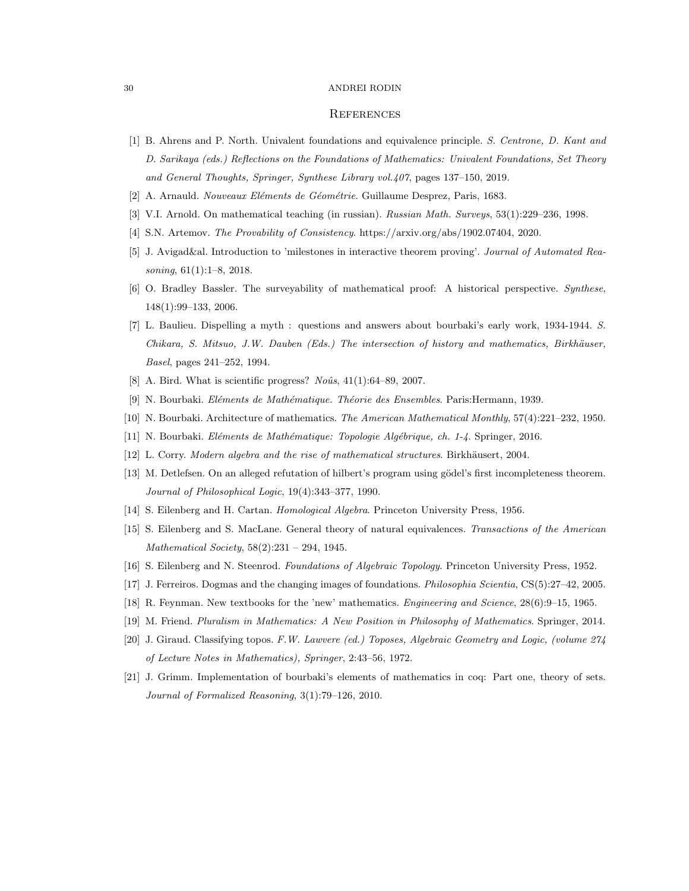### **REFERENCES**

- [1] B. Ahrens and P. North. Univalent foundations and equivalence principle. S. Centrone, D. Kant and D. Sarikaya (eds.) Reflections on the Foundations of Mathematics: Univalent Foundations, Set Theory and General Thoughts, Springer, Synthese Library vol.407, pages 137–150, 2019.
- [2] A. Arnauld. Nouveaux Eléments de Géométrie. Guillaume Desprez, Paris, 1683.
- [3] V.I. Arnold. On mathematical teaching (in russian). Russian Math. Surveys, 53(1):229–236, 1998.
- [4] S.N. Artemov. The Provability of Consistency. https://arxiv.org/abs/1902.07404, 2020.
- [5] J. Avigad&al. Introduction to 'milestones in interactive theorem proving'. Journal of Automated Reasoning, 61(1):1–8, 2018.
- [6] O. Bradley Bassler. The surveyability of mathematical proof: A historical perspective. Synthese, 148(1):99–133, 2006.
- [7] L. Baulieu. Dispelling a myth : questions and answers about bourbaki's early work, 1934-1944. S. Chikara, S. Mitsuo, J.W. Dauben (Eds.) The intersection of history and mathematics, Birkh¨auser, Basel, pages 241–252, 1994.
- [8] A. Bird. What is scientific progress?  $No\hat{u}s$ , 41(1):64–89, 2007.
- [9] N. Bourbaki. Eléments de Mathématique. Théorie des Ensembles. Paris:Hermann, 1939.
- [10] N. Bourbaki. Architecture of mathematics. The American Mathematical Monthly, 57(4):221–232, 1950.
- [11] N. Bourbaki. El´ements de Math´ematique: Topologie Alg´ebrique, ch. 1-4. Springer, 2016.
- [12] L. Corry. Modern algebra and the rise of mathematical structures. Birkhäusert, 2004.
- [13] M. Detlefsen. On an alleged refutation of hilbert's program using gödel's first incompleteness theorem. Journal of Philosophical Logic, 19(4):343–377, 1990.
- [14] S. Eilenberg and H. Cartan. Homological Algebra. Princeton University Press, 1956.
- [15] S. Eilenberg and S. MacLane. General theory of natural equivalences. Transactions of the American Mathematical Society, 58(2):231 – 294, 1945.
- [16] S. Eilenberg and N. Steenrod. Foundations of Algebraic Topology. Princeton University Press, 1952.
- [17] J. Ferreiros. Dogmas and the changing images of foundations. Philosophia Scientia, CS(5):27–42, 2005.
- [18] R. Feynman. New textbooks for the 'new' mathematics. Engineering and Science, 28(6):9–15, 1965.
- [19] M. Friend. Pluralism in Mathematics: A New Position in Philosophy of Mathematics. Springer, 2014.
- [20] J. Giraud. Classifying topos. F.W. Lawvere (ed.) Toposes, Algebraic Geometry and Logic, (volume 274 of Lecture Notes in Mathematics), Springer, 2:43–56, 1972.
- [21] J. Grimm. Implementation of bourbaki's elements of mathematics in coq: Part one, theory of sets. Journal of Formalized Reasoning, 3(1):79–126, 2010.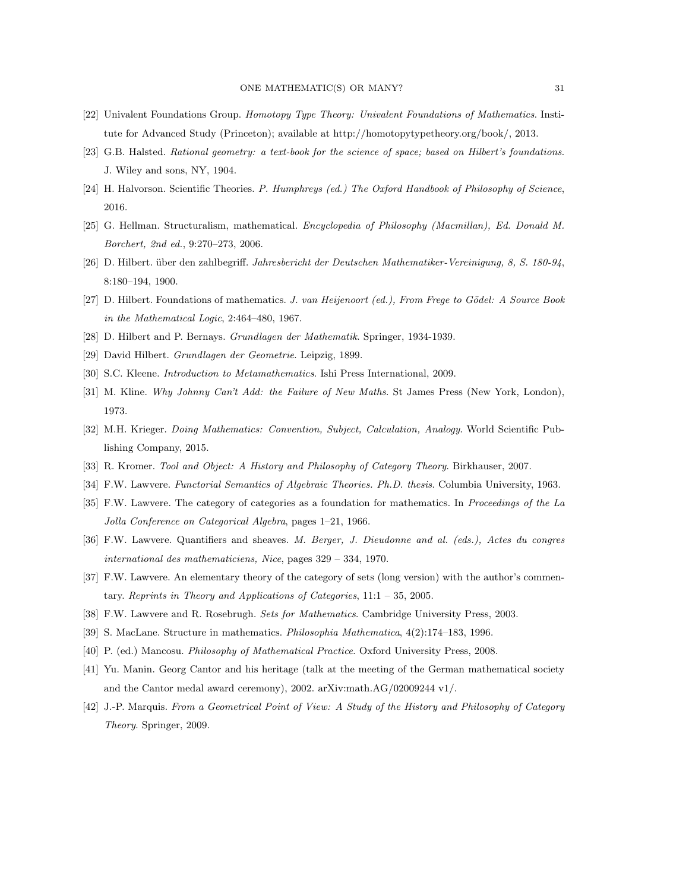- [22] Univalent Foundations Group. Homotopy Type Theory: Univalent Foundations of Mathematics. Institute for Advanced Study (Princeton); available at http://homotopytypetheory.org/book/, 2013.
- [23] G.B. Halsted. Rational geometry: a text-book for the science of space; based on Hilbert's foundations. J. Wiley and sons, NY, 1904.
- [24] H. Halvorson. Scientific Theories. P. Humphreys (ed.) The Oxford Handbook of Philosophy of Science, 2016.
- [25] G. Hellman. Structuralism, mathematical. Encyclopedia of Philosophy (Macmillan), Ed. Donald M. Borchert, 2nd ed., 9:270–273, 2006.
- [26] D. Hilbert. über den zahlbegriff. Jahresbericht der Deutschen Mathematiker-Vereinigung, 8, S. 180-94, 8:180–194, 1900.
- [27] D. Hilbert. Foundations of mathematics. J. van Heijenoort (ed.), From Frege to Gödel: A Source Book in the Mathematical Logic, 2:464–480, 1967.
- [28] D. Hilbert and P. Bernays. Grundlagen der Mathematik. Springer, 1934-1939.
- [29] David Hilbert. Grundlagen der Geometrie. Leipzig, 1899.
- [30] S.C. Kleene. Introduction to Metamathematics. Ishi Press International, 2009.
- [31] M. Kline. Why Johnny Can't Add: the Failure of New Maths. St James Press (New York, London), 1973.
- [32] M.H. Krieger. Doing Mathematics: Convention, Subject, Calculation, Analogy. World Scientific Publishing Company, 2015.
- [33] R. Kromer. Tool and Object: A History and Philosophy of Category Theory. Birkhauser, 2007.
- [34] F.W. Lawvere. Functorial Semantics of Algebraic Theories. Ph.D. thesis. Columbia University, 1963.
- [35] F.W. Lawvere. The category of categories as a foundation for mathematics. In Proceedings of the La Jolla Conference on Categorical Algebra, pages 1–21, 1966.
- [36] F.W. Lawvere. Quantifiers and sheaves. M. Berger, J. Dieudonne and al. (eds.), Actes du congres international des mathematiciens, Nice, pages 329 – 334, 1970.
- [37] F.W. Lawvere. An elementary theory of the category of sets (long version) with the author's commentary. Reprints in Theory and Applications of Categories, 11:1 – 35, 2005.
- [38] F.W. Lawvere and R. Rosebrugh. Sets for Mathematics. Cambridge University Press, 2003.
- [39] S. MacLane. Structure in mathematics. Philosophia Mathematica, 4(2):174–183, 1996.
- [40] P. (ed.) Mancosu. Philosophy of Mathematical Practice. Oxford University Press, 2008.
- [41] Yu. Manin. Georg Cantor and his heritage (talk at the meeting of the German mathematical society and the Cantor medal award ceremony), 2002. arXiv:math.AG/02009244 v1/.
- [42] J.-P. Marquis. From a Geometrical Point of View: A Study of the History and Philosophy of Category Theory. Springer, 2009.